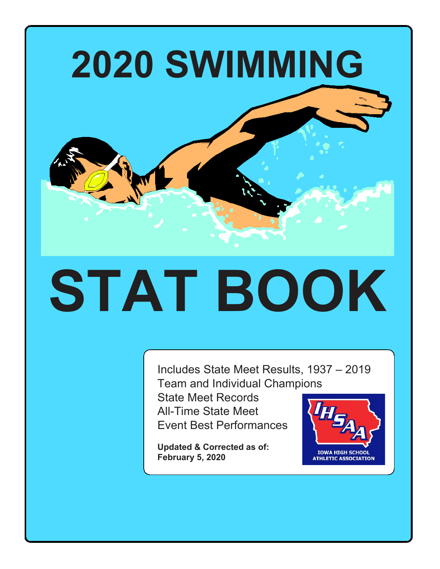

# **STAT BOOK**

Includes State Meet Results, 1937 – 2019 Team and Individual Champions

State Meet Records All-Time State Meet Event Best Performances

**Updated & Corrected as of: February 5, 2020**

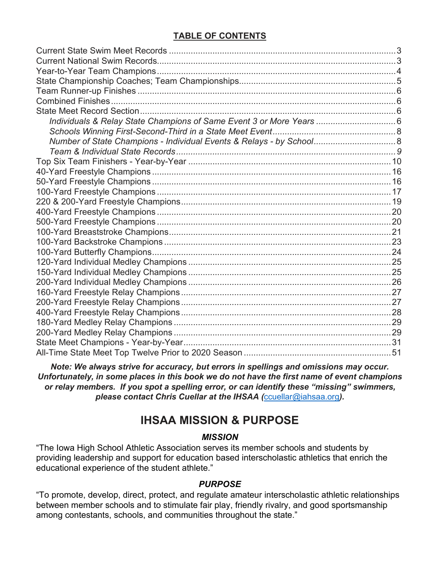# **TABLE OF CONTENTS**

*Note: We always strive for accuracy, but errors in spellings and omissions may occur. Unfortunately, in some places in this book we do not have the first name of event champions or relay members. If you spot a spelling error, or can identify these "missing" swimmers, please contact Chris Cuellar at the IHSAA (*[ccuellar@iahsaa.org](mailto:ccuellar@iahsaa.org)*).*

# **IHSAA MISSION & PURPOSE**

# *MISSION*

"The Iowa High School Athletic Association serves its member schools and students by providing leadership and support for education based interscholastic athletics that enrich the educational experience of the student athlete."

# *PURPOSE*

"To promote, develop, direct, protect, and regulate amateur interscholastic athletic relationships between member schools and to stimulate fair play, friendly rivalry, and good sportsmanship among contestants, schools, and communities throughout the state."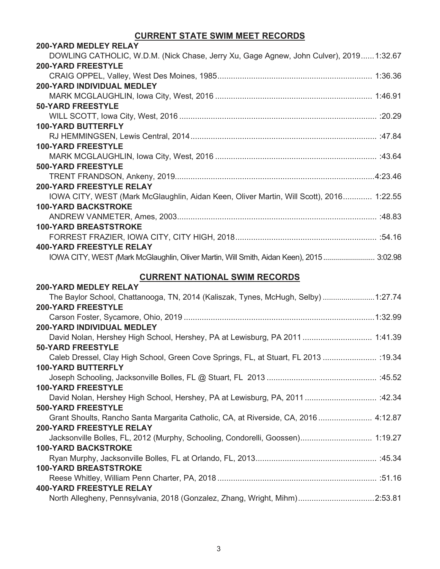# **CURRENT STATE SWIM MEET RECORDS**

| <b>200-YARD MEDLEY RELAY</b>                                                            |
|-----------------------------------------------------------------------------------------|
| DOWLING CATHOLIC, W.D.M. (Nick Chase, Jerry Xu, Gage Agnew, John Culver), 20191:32.67   |
| <b>200-YARD FREESTYLE</b>                                                               |
|                                                                                         |
| <b>200-YARD INDIVIDUAL MEDLEY</b>                                                       |
|                                                                                         |
| <b>50-YARD FREESTYLE</b>                                                                |
|                                                                                         |
| <b>100-YARD BUTTERFLY</b>                                                               |
|                                                                                         |
| <b>100-YARD FREESTYLE</b>                                                               |
|                                                                                         |
| <b>500-YARD FREESTYLE</b>                                                               |
|                                                                                         |
| <b>200-YARD FREESTYLE RELAY</b>                                                         |
| IOWA CITY, WEST (Mark McGlaughlin, Aidan Keen, Oliver Martin, Will Scott), 2016 1:22.55 |
| <b>100-YARD BACKSTROKE</b>                                                              |
|                                                                                         |
| <b>100-YARD BREASTSTROKE</b>                                                            |
|                                                                                         |
| <b>400-YARD FREESTYLE RELAY</b>                                                         |
| IOWA CITY, WEST (Mark McGlaughlin, Oliver Martin, Will Smith, Aidan Keen), 2015 3:02.98 |
|                                                                                         |
| <b>CURRENT NATIONAL SWIM RECORDS</b>                                                    |
| 200-YARD MEDLEY RELAY                                                                   |

| The Baylor School, Chattanooga, TN, 2014 (Kaliszak, Tynes, McHugh, Selby) 1:27.74  |  |
|------------------------------------------------------------------------------------|--|
| <b>200-YARD FREESTYLE</b>                                                          |  |
|                                                                                    |  |
| <b>200-YARD INDIVIDUAL MEDLEY</b>                                                  |  |
| David Nolan, Hershey High School, Hershey, PA at Lewisburg, PA 2011 1:41.39        |  |
| <b>50-YARD FREESTYLE</b>                                                           |  |
|                                                                                    |  |
| <b>100-YARD BUTTERFLY</b>                                                          |  |
|                                                                                    |  |
| <b>100-YARD FREESTYLE</b>                                                          |  |
| David Nolan, Hershey High School, Hershey, PA at Lewisburg, PA, 2011 :42.34        |  |
| <b>500-YARD FREESTYLE</b>                                                          |  |
| Grant Shoults, Rancho Santa Margarita Catholic, CA, at Riverside, CA, 2016 4:12.87 |  |
| <b>200-YARD FREESTYLE RELAY</b>                                                    |  |
| Jacksonville Bolles, FL, 2012 (Murphy, Schooling, Condorelli, Goossen) 1:19.27     |  |
| <b>100-YARD BACKSTROKE</b>                                                         |  |
|                                                                                    |  |
| <b>100-YARD BREASTSTROKE</b>                                                       |  |
|                                                                                    |  |
| <b>400-YARD FREESTYLE RELAY</b>                                                    |  |
| North Allegheny, Pennsylvania, 2018 (Gonzalez, Zhang, Wright, Mihm)2:53.81         |  |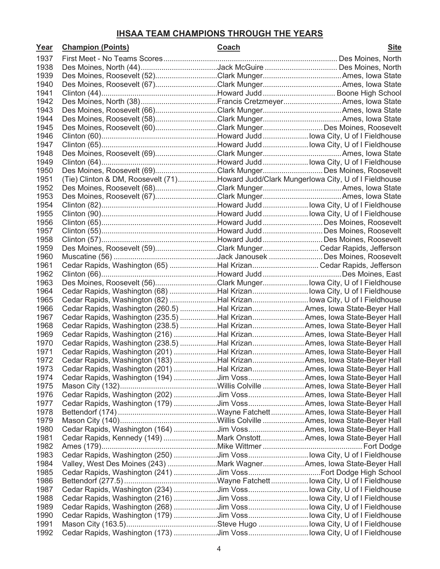# **IHSAA TEAM CHAMPIONS THROUGH THE YEARS**

| Year | <b>Champion (Points)</b>                                                               | Coach | <b>Site</b> |
|------|----------------------------------------------------------------------------------------|-------|-------------|
| 1937 |                                                                                        |       |             |
| 1938 |                                                                                        |       |             |
| 1939 |                                                                                        |       |             |
| 1940 |                                                                                        |       |             |
| 1941 |                                                                                        |       |             |
| 1942 |                                                                                        |       |             |
| 1943 |                                                                                        |       |             |
| 1944 |                                                                                        |       |             |
| 1945 | Des Moines, Roosevelt (60)Clark MungerDes Moines, Roosevelt                            |       |             |
| 1946 |                                                                                        |       |             |
| 1947 |                                                                                        |       |             |
| 1948 |                                                                                        |       |             |
| 1949 |                                                                                        |       |             |
| 1950 | Des Moines, Roosevelt (69)Clark MungerDes Moines, Roosevelt                            |       |             |
| 1951 | (Tie) Clinton & DM, Roosevelt (71)Howard Judd/Clark Mungerlowa City, U of I Fieldhouse |       |             |
| 1952 |                                                                                        |       |             |
| 1953 |                                                                                        |       |             |
| 1954 |                                                                                        |       |             |
| 1955 |                                                                                        |       |             |
| 1956 |                                                                                        |       |             |
| 1957 |                                                                                        |       |             |
| 1958 |                                                                                        |       |             |
| 1959 | Des Moines, Roosevelt (59)Clark MungerCedar Rapids, Jefferson                          |       |             |
| 1960 |                                                                                        |       |             |
| 1961 | Cedar Rapids, Washington (65) Hal KrizanCedar Rapids, Jefferson                        |       |             |
| 1962 |                                                                                        |       |             |
| 1963 | Des Moines, Roosevelt (56)Clark Mungerlowa City, U of I Fieldhouse                     |       |             |
| 1964 | Cedar Rapids, Washington (68) Hal Krizanlowa City, U of I Fieldhouse                   |       |             |
| 1965 | Cedar Rapids, Washington (82) Hal Krizanlowa City, U of I Fieldhouse                   |       |             |
| 1966 | Cedar Rapids, Washington (260.5) Hal KrizanAmes, Iowa State-Beyer Hall                 |       |             |
| 1967 | Cedar Rapids, Washington (235.5) Hal KrizanAmes, Iowa State-Beyer Hall                 |       |             |
| 1968 | Cedar Rapids, Washington (238.5) Hal KrizanAmes, Iowa State-Beyer Hall                 |       |             |
| 1969 | Cedar Rapids, Washington (216) Hal KrizanAmes, Iowa State-Beyer Hall                   |       |             |
| 1970 | Cedar Rapids, Washington (238.5) Hal KrizanAmes, Iowa State-Beyer Hall                 |       |             |
| 1971 | Cedar Rapids, Washington (201) Hal KrizanAmes, Iowa State-Beyer Hall                   |       |             |
| 1972 | Cedar Rapids, Washington (183) Hal KrizanAmes, Iowa State-Beyer Hall                   |       |             |
| 1973 | Cedar Rapids, Washington (201) Hal KrizanAmes, Iowa State-Beyer Hall                   |       |             |
| 1974 | Cedar Rapids, Washington (194) Jim VossAmes, Iowa State-Beyer Hall                     |       |             |
| 1975 |                                                                                        |       |             |
| 1976 | Cedar Rapids, Washington (202) Jim VossAmes, Iowa State-Beyer Hall                     |       |             |
| 1977 | Cedar Rapids, Washington (179) Jim VossAmes, Iowa State-Beyer Hall                     |       |             |
| 1978 |                                                                                        |       |             |
| 1979 |                                                                                        |       |             |
| 1980 | Cedar Rapids, Washington (164) Jim VossAmes, Iowa State-Beyer Hall                     |       |             |
| 1981 | Cedar Rapids, Kennedy (149) Mark OnstottAmes, Iowa State-Beyer Hall                    |       |             |
| 1982 |                                                                                        |       |             |
| 1983 | Cedar Rapids, Washington (250) Jim Vosslowa City, U of I Fieldhouse                    |       |             |
| 1984 | Valley, West Des Moines (243) Mark WagnerAmes, Iowa State-Beyer Hall                   |       |             |
| 1985 |                                                                                        |       |             |
| 1986 |                                                                                        |       |             |
| 1987 | Cedar Rapids, Washington (234) Jim Vosslowa City, U of I Fieldhouse                    |       |             |
| 1988 | Cedar Rapids, Washington (216) Jim Vosslowa City, U of I Fieldhouse                    |       |             |
| 1989 | Cedar Rapids, Washington (268) Jim Vosslowa City, U of I Fieldhouse                    |       |             |
| 1990 | Cedar Rapids, Washington (179) Jim Vosslowa City, U of I Fieldhouse                    |       |             |
| 1991 |                                                                                        |       |             |
| 1992 | Cedar Rapids, Washington (173) Jim Vosslowa City, U of I Fieldhouse                    |       |             |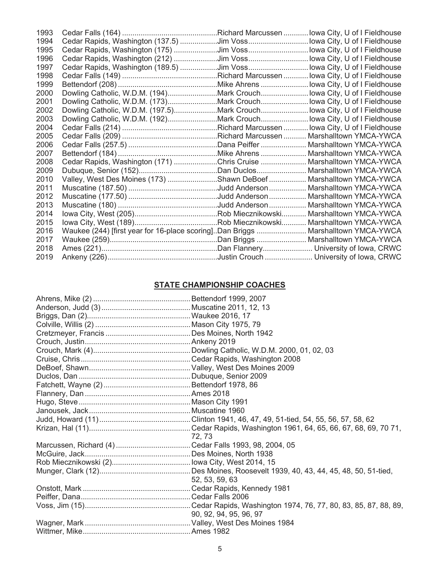|  | Cedar Rapids, Washington (137.5) Jim Vosslowa City, U of I Fieldhouse<br>Cedar Rapids, Washington (175) Jim Vosslowa City, U of I Fieldhouse<br>Cedar Rapids, Washington (212) Jim Vosslowa City, U of I Fieldhouse<br>Cedar Rapids, Washington (189.5) Jim Vosslowa City, U of I Fieldhouse<br>Dowling Catholic, W.D.M. (194)Mark Crouchlowa City, U of I Fieldhouse<br>Dowling Catholic, W.D.M. (173)Mark Crouchlowa City, U of I Fieldhouse<br>Dowling Catholic, W.D.M. (197.5)Mark Crouchlowa City, U of I Fieldhouse<br>Dowling Catholic, W.D.M. (192)Mark Crouchlowa City, U of I Fieldhouse<br>Cedar Rapids, Washington (171) Chris Cruise  Marshalltown YMCA-YWCA<br>Valley, West Des Moines (173) Shawn DeBoef  Marshalltown YMCA-YWCA<br>Muscatine (180) …………………………………………Judd Anderson ……………… Marshalltown YMCA-YWCA<br>Waukee (244) [first year for 16-place scoring]. Dan Briggs  Marshalltown YMCA-YWCA |
|--|----------------------------------------------------------------------------------------------------------------------------------------------------------------------------------------------------------------------------------------------------------------------------------------------------------------------------------------------------------------------------------------------------------------------------------------------------------------------------------------------------------------------------------------------------------------------------------------------------------------------------------------------------------------------------------------------------------------------------------------------------------------------------------------------------------------------------------------------------------------------------------------------------------------------|

# **STATE CHAMPIONSHIP COACHES**

| 72.73                  |
|------------------------|
|                        |
|                        |
|                        |
|                        |
| 52, 53, 59, 63         |
|                        |
|                        |
|                        |
| 90, 92, 94, 95, 96, 97 |
|                        |
|                        |
|                        |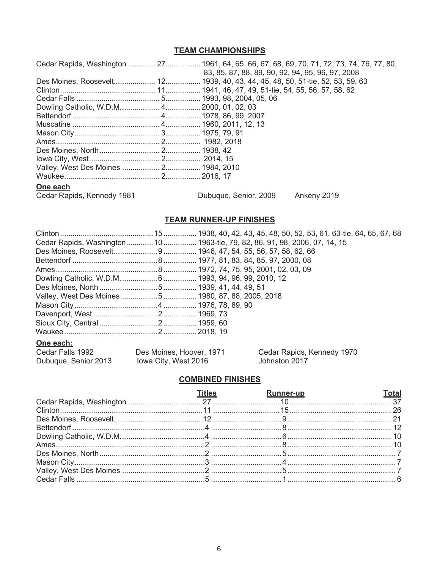# **TEAM CHAMPIONSHIPS**

|                                           | Cedar Rapids, Washington  27 1961, 64, 65, 66, 67, 68, 69, 70, 71, 72, 73, 74, 76, 77, 80, |
|-------------------------------------------|--------------------------------------------------------------------------------------------|
|                                           | 83, 85, 87, 88, 89, 90, 92, 94, 95, 96, 97, 2008                                           |
|                                           |                                                                                            |
|                                           |                                                                                            |
|                                           |                                                                                            |
|                                           |                                                                                            |
|                                           |                                                                                            |
|                                           |                                                                                            |
|                                           |                                                                                            |
|                                           |                                                                                            |
|                                           |                                                                                            |
|                                           |                                                                                            |
|                                           |                                                                                            |
|                                           |                                                                                            |
| $\sim$ $\sim$ $\sim$ $\sim$ $\sim$ $\sim$ |                                                                                            |

One each<br>Cedar Rapids, Kennedy 1981

Dubuque, Senior, 2009

Ankeny 2019

# **TEAM RUNNER-UP FINISHES**

|           | Cedar Rapids, Washington 10  1963-tie, 79, 82, 86, 91, 98, 2006, 07, 14, 15 |
|-----------|-----------------------------------------------------------------------------|
|           |                                                                             |
|           |                                                                             |
|           |                                                                             |
|           |                                                                             |
|           |                                                                             |
|           | Valley, West Des Moines5 1980, 87, 88, 2005, 2018                           |
|           |                                                                             |
|           |                                                                             |
|           |                                                                             |
|           |                                                                             |
| One each: |                                                                             |

| Cedar Falls 1992     | Des Moines, Hoover, 1971 | Cedar Rapids, Kennedy 1970 |
|----------------------|--------------------------|----------------------------|
| Dubuque, Senior 2013 | lowa City, West 2016     | Johnston 2017              |

# **COMBINED FINISHES**

| <b>Titles</b> | <b>Runner-up</b> | <u> Total Total</u> |
|---------------|------------------|---------------------|
|               |                  |                     |
|               |                  |                     |
|               |                  |                     |
|               |                  |                     |
|               |                  |                     |
|               |                  |                     |
|               |                  |                     |
|               |                  |                     |
|               |                  |                     |
|               |                  |                     |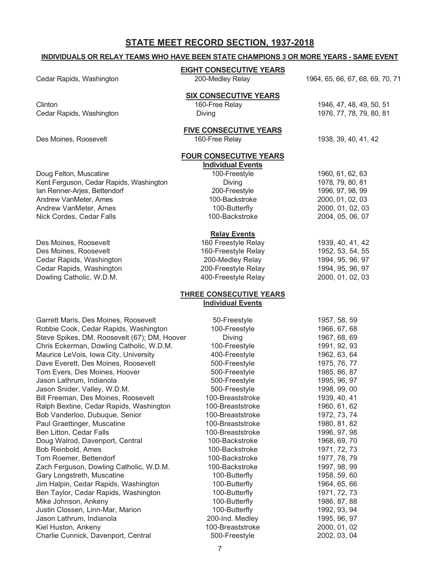# **STATE MEET RECORD SECTION, 1937-2018**

#### **INDIVIDUALS OR RELAY TEAMS WHO HAVE BEEN STATE CHAMPIONS 3 OR MORE YEARS - SAME EVENT**

Clinton 160-Free Relay 1946, 47, 48, 49, 50, 51 Cedar Rapids, Washington The Communication Diving 1976, 77, 78, 79, 80, 81

Des Moines, Roosevelt 160-Free Relay 1938, 39, 40, 41, 42

Cedar Rapids, Washington

**EIGHT CONSECUTIVE YEARS**

Cedar Rapids, Washington 200-Medley Relay 1964, 65, 66, 67, 68, 69, 70, 71

#### **SIX CONSECUTIVE YEARS**

#### **FIVE CONSECUTIVE YEARS**

#### **FOUR CONSECUTIVE YEARS**

**Individual Events**<br>100-Freestyle Doug Felton, Muscatine 100-Freestyle 1960, 61, 62, 63

Kent Ferguson, Cedar Rapids, Washington **Diving 1978, 79, 80, 81** Diving 1978, 79, 80, 81 Ian Renner-Arjes, Bettendorf 200-Freestyle 1996, 97, 98, 99 Andrew VanMeter, Ames 2000, 2000, 2000, 2000, 2000, 2000, 2000, 2000, 2000, 2000, 2000, 2000, 2000, 2000, 2000 Andrew VanMeter, Ames 100-Butterfly 2000, 01, 02, 03 Nick Cordes, Cedar Falls 100-Backstroke 2004, 05, 06, 07

#### **Relay Events**

Des Moines, Roosevelt 160 Freestyle Relay 1939, 40, 41, 42 Des Moines, Roosevelt 160-Freestyle Relay 1952, 53, 54, 55 Cedar Rapids, Washington 200-Medley Relay 1994, 95, 96, 97 Dowling Catholic, W.D.M. 400-Freestyle Relay 2000, 01, 02, 03

#### **THREE CONSECUTIVE YEARS Individual Events**

Garrett Maris, Des Moines, Roosevelt 50-Freestyle 1957, 58, 59 Robbie Cook, Cedar Rapids, Washington 100-Freestyle 1966, 67, 68 Steve Spikes, DM, Roosevelt (67); DM, Hoover Diving Diving 1967, 68, 69 Chris Eckerman, Dowling Catholic, W.D.M. 100-Freestyle 1991, 92, 93 Maurice LeVois, Iowa City, University 400-Freestyle 1962, 63, 64 Dave Everett, Des Moines, Roosevelt Tom Evers, Des Moines, Hoover 500-Freestyle 1985, 86, 87 Jason Lathrum, Indianola 500-Freestyle 1995, 96, 97 Jason Snider, Valley, W.D.M. 600-Freestyle 1998, 99, 00 Bill Freeman, Des Moines, Roosevelt 100-Breaststroke 1939, 40, 41 Ralph Bextine, Cedar Rapids, Washington 100-Breaststroke 1960, 61, 62 Bob Vanderloo, Dubuque, Senior 100-Breaststroke 1972, 73, 74 Paul Graettinger, Muscatine 100-Breaststroke 1980, 81, 82 Ben Litton, Cedar Falls 100-Breaststroke 1996, 97, 98 Doug Walrod, Davenport, Central 100-Backstroke 1968, 69, 70 Bob Reinbold, Ames 100-Backstroke 1971, 72, 73 Tom Roemer, Bettendorf Zach Ferguson, Dowling Catholic, W.D.M. 100-Backstroke 1997, 98, 99 Gary Longstreth, Muscatine 100-Butterfly 100-Butterfly 1958, 59, 60 Jim Halpin, Cedar Rapids, Washington 100-Butterfly 1964, 65, 66 Ben Taylor, Cedar Rapids, Washington 100-Butterfly 1971, 72, 73 Mike Johnson, Ankeny **100-Butterfly** 100-Butterfly 1986, 87, 88 Justin Clossen, Linn-Mar, Marion 100-Butterfly 1992, 93, 94 Jason Lathrum, Indianola 200-Ind. Medley 1995, 96, 97 Kiel Huston, Ankeny **100-Breaststroke** 2000, 01, 02 Charlie Cunnick, Davenport, Central 500-Freestyle 2002, 03, 04

7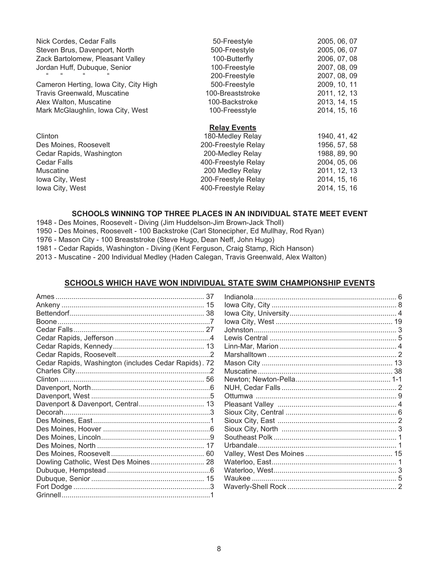| Nick Cordes, Cedar Falls              | 50-Freestyle        | 2005, 06, 07 |
|---------------------------------------|---------------------|--------------|
| Steven Brus, Davenport, North         | 500-Freestyle       | 2005, 06, 07 |
| Zack Bartolomew, Pleasant Valley      | 100-Butterfly       | 2006, 07, 08 |
| Jordan Huff, Dubuque, Senior          | 100-Freestyle       | 2007, 08, 09 |
|                                       | 200-Freestyle       | 2007, 08, 09 |
| Cameron Herting, Iowa City, City High | 500-Freestyle       | 2009, 10, 11 |
| Travis Greenwald, Muscatine           | 100-Breaststroke    | 2011, 12, 13 |
| Alex Walton, Muscatine                | 100-Backstroke      | 2013, 14, 15 |
| Mark McGlaughlin, Iowa City, West     | 100-Freesstyle      | 2014, 15, 16 |
|                                       | <b>Relay Events</b> |              |
| Clinton                               | 180-Medley Relay    | 1940, 41, 42 |
| Des Moines, Roosevelt                 | 200-Freestyle Relay | 1956, 57, 58 |
| Cedar Rapids, Washington              | 200-Medley Relay    | 1988, 89, 90 |
| <b>Cedar Falls</b>                    | 400-Freestyle Relay | 2004, 05, 06 |
| <b>Muscatine</b>                      | 200 Medley Relay    | 2011, 12, 13 |
| Iowa City, West                       | 200-Freestyle Relay | 2014, 15, 16 |
| Iowa City, West                       | 400-Freestyle Relay | 2014, 15, 16 |

#### **SCHOOLS WINNING TOP THREE PLACES IN AN INDIVIDUAL STATE MEET EVENT**

- 1948 Des Moines, Roosevelt Diving (Jim Huddelson-Jim Brown-Jack Tholl)
- 1950 Des Moines, Roosevelt 100 Backstroke (Carl Stonecipher, Ed Mullhay, Rod Ryan)
- 1976 Mason City 100 Breaststroke (Steve Hugo, Dean Neff, John Hugo)
- 1981 Cedar Rapids, Washington Diving (Kent Ferguson, Craig Stamp, Rich Hanson)

2013 - Muscatine - 200 Individual Medley (Haden Calegan, Travis Greenwald, Alex Walton)

#### **SCHOOLS WHICH HAVE WON INDIVIDUAL STATE SWIM CHAMPIONSHIP EVENTS**

| Cedar Rapids, Washington (includes Cedar Rapids). 72 |
|------------------------------------------------------|
|                                                      |
|                                                      |
|                                                      |
|                                                      |
| Davenport & Davenport, Central 13                    |
|                                                      |
|                                                      |
|                                                      |
|                                                      |
|                                                      |
|                                                      |
| Dowling Catholic, West Des Moines 28                 |
|                                                      |
|                                                      |
|                                                      |
|                                                      |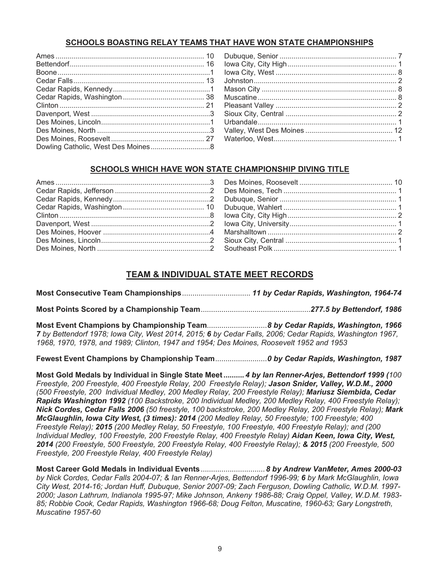# **SCHOOLS BOASTING RELAY TEAMS THAT HAVE WON STATE CHAMPIONSHIPS**

# **SCHOOLS WHICH HAVE WON STATE CHAMPIONSHIP DIVING TITLE**

# **TEAM & INDIVIDUAL STATE MEET RECORDS**

**Most Consecutive Team Championships**................................. *11 by Cedar Rapids, Washington, 1964-74*

**Most Points Scored by a Championship Team**.....................................................*277.5 by Bettendorf, 1986*

**Most Event Champions by Championship Team**.............................*8 by Cedar Rapids, Washington, 1966 7 by Bettendorf 1978; Iowa City, West 2014, 2015; 6 by Cedar Falls, 2006; Cedar Rapids, Washington 1967, 1968, 1970, 1978, and 1989; Clinton, 1947 and 1954; Des Moines, Roosevelt 1952 and 1953*

**Fewest Event Champions by Championship Team**.........................*0 by Cedar Rapids, Washington, 1987*

**Most Gold Medals by Individual in Single State Meet..........** *4 by Ian Renner-Arjes, Bettendorf 1999 (100 Freestyle, 200 Freestyle, 400 Freestyle Relay, 200 Freestyle Relay); Jason Snider, Valley, W.D.M., 2000 (500 Freestyle, 200 Individual Medley, 200 Medley Relay, 200 Freestyle Relay); Mariusz Siembida, Cedar Rapids Washington 1992 (100 Backstroke, 200 Individual Medley, 200 Medley Relay, 400 Freestyle Relay); Nick Cordes, Cedar Falls 2006 (50 freestyle, 100 backstroke, 200 Medley Relay, 200 Freestyle Relay); Mark McGlaughlin, Iowa City West, (3 times): 2014 (200 Medley Relay, 50 Freestyle; 100 Freestyle; 400 Freestyle Relay); 2015 (200 Medley Relay, 50 Freestyle, 100 Freestyle, 400 Freestyle Relay); and (200 Individual Medley, 100 Freestyle, 200 Freestyle Relay, 400 Freestyle Relay) Aidan Keen, Iowa City, West, 2014 (200 Freestyle, 500 Freestyle, 200 Freestyle Relay, 400 Freestyle Relay); & 2015 (200 Freestyle, 500 Freestyle, 200 Freestyle Relay, 400 Freestyle Relay)*

**Most Career Gold Medals in Individual Events**...............................*8 by Andrew VanMeter, Ames 2000-03 by Nick Cordes, Cedar Falls 2004-07; & Ian Renner-Arjes, Bettendorf 1996-99; 6 by Mark McGlaughlin, Iowa City West, 2014-16; Jordan Huff, Dubuque, Senior 2007-09; Zach Ferguson, Dowling Catholic, W.D.M. 1997- 2000; Jason Lathrum, Indianola 1995-97; Mike Johnson, Ankeny 1986-88; Craig Oppel, Valley, W.D.M. 1983- 85; Robbie Cook, Cedar Rapids, Washington 1966-68; Doug Felton, Muscatine, 1960-63; Gary Longstreth, Muscatine 1957-60*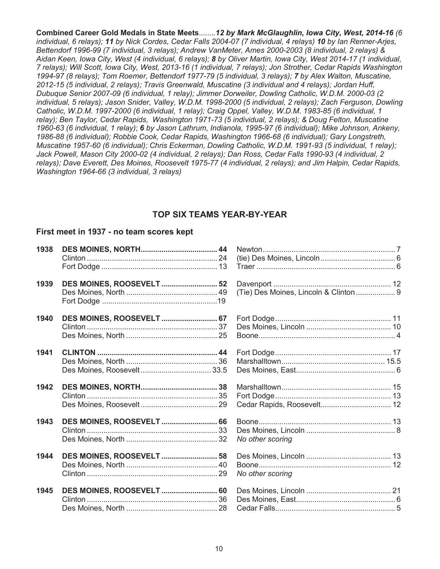**Combined Career Gold Medals in State Meets**.......*.12 by Mark McGlaughlin, Iowa City, West, 2014-16 (6 individual, 6 relays); 11 by Nick Cordes, Cedar Falls 2004-07 (7 individual, 4 relays) 10 by Ian Renner-Arjes, Bettendorf 1996-99 (7 individual, 3 relays); Andrew VanMeter, Ames 2000-2003 (8 individual, 2 relays) & Aidan Keen, Iowa City, West (4 individual, 6 relays); 8 by Oliver Martin, Iowa City, West 2014-17 (1 individual, 7 relays); Will Scott, Iowa City, West, 2013-16 (1 individual, 7 relays); Jon Strother, Cedar Rapids Washington 1994-97 (8 relays); Tom Roemer, Bettendorf 1977-79 (5 individual, 3 relays); 7 by Alex Walton, Muscatine, 2012-15 (5 individual, 2 relays); Travis Greenwald, Muscatine (3 individual and 4 relays); Jordan Huff, Dubuque Senior 2007-09 (6 individual, 1 relay); Jimmer Dorweiler, Dowling Catholic, W.D.M. 2000-03 (2 individual, 5 relays); Jason Snider, Valley, W.D.M. 1998-2000 (5 individual, 2 relays); Zach Ferguson, Dowling Catholic, W.D.M. 1997-2000 (6 individual, 1 relay); Craig Oppel, Valley, W.D.M. 1983-85 (6 individual, 1 relay); Ben Taylor, Cedar Rapids, Washington 1971-73 (5 individual, 2 relays); & Doug Felton, Muscatine 1960-63 (6 individual, 1 relay)*; *6 by Jason Lathrum, Indianola, 1995-97 (6 individual); Mike Johnson, Ankeny, 1986-88 (6 individual); Robbie Cook, Cedar Rapids, Washington 1966-68 (6 individual); Gary Longstreth, Muscatine 1957-60 (6 individual); Chris Eckerman, Dowling Catholic, W.D.M. 1991-93 (5 individual, 1 relay); Jack Powell, Mason City 2000-02 (4 individual, 2 relays); Dan Ross, Cedar Falls 1990-93 (4 individual, 2 relays); Dave Everett, Des Moines, Roosevelt 1975-77 (4 individual, 2 relays); and Jim Halpin, Cedar Rapids, Washington 1964-66 (3 individual, 3 relays)*

# **TOP SIX TEAMS YEAR-BY-YEAR**

#### **First meet in 1937 - no team scores kept**

| 1938 |                                  |                                        |
|------|----------------------------------|----------------------------------------|
| 1939 | <b>DES MOINES, ROOSEVELT  52</b> | (Tie) Des Moines, Lincoln & Clinton  9 |
| 1940 | <b>DES MOINES, ROOSEVELT  67</b> |                                        |
| 1941 |                                  |                                        |
| 1942 |                                  |                                        |
| 1943 | <b>DES MOINES, ROOSEVELT</b> 66  | No other scoring                       |
| 1944 | <b>DES MOINES, ROOSEVELT  58</b> | No other scoring                       |
| 1945 |                                  |                                        |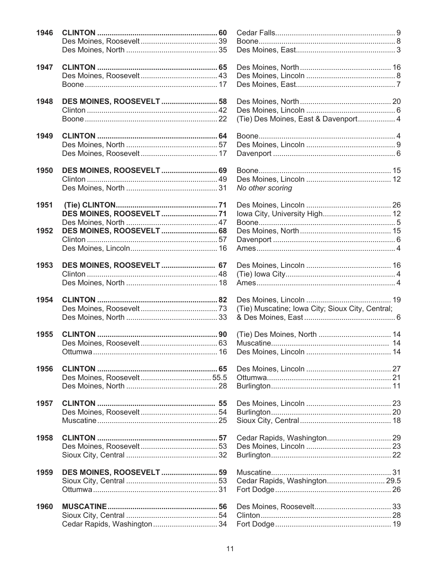| 1946 |                                  |                                                  |  |
|------|----------------------------------|--------------------------------------------------|--|
|      |                                  |                                                  |  |
|      |                                  |                                                  |  |
| 1947 |                                  |                                                  |  |
|      |                                  |                                                  |  |
|      |                                  |                                                  |  |
| 1948 | <b>DES MOINES, ROOSEVELT  58</b> |                                                  |  |
|      |                                  |                                                  |  |
|      |                                  | (Tie) Des Moines, East & Davenport 4             |  |
| 1949 |                                  |                                                  |  |
|      |                                  |                                                  |  |
|      |                                  |                                                  |  |
| 1950 | <b>DES MOINES, ROOSEVELT  69</b> |                                                  |  |
|      |                                  |                                                  |  |
|      |                                  | No other scoring                                 |  |
| 1951 |                                  |                                                  |  |
|      | <b>DES MOINES, ROOSEVELT  71</b> |                                                  |  |
|      |                                  |                                                  |  |
| 1952 | <b>DES MOINES, ROOSEVELT  68</b> |                                                  |  |
|      |                                  |                                                  |  |
|      |                                  |                                                  |  |
| 1953 | <b>DES MOINES, ROOSEVELT  67</b> |                                                  |  |
|      |                                  |                                                  |  |
|      |                                  |                                                  |  |
| 1954 |                                  |                                                  |  |
|      |                                  | (Tie) Muscatine; Iowa City; Sioux City, Central; |  |
|      |                                  |                                                  |  |
| 1955 |                                  |                                                  |  |
|      |                                  |                                                  |  |
|      |                                  |                                                  |  |
| 1956 |                                  |                                                  |  |
|      |                                  |                                                  |  |
|      |                                  |                                                  |  |
| 1957 |                                  |                                                  |  |
|      |                                  |                                                  |  |
|      |                                  |                                                  |  |
| 1958 |                                  | Cedar Rapids, Washington 29                      |  |
|      |                                  |                                                  |  |
|      |                                  |                                                  |  |
| 1959 | <b>DES MOINES, ROOSEVELT  59</b> |                                                  |  |
|      |                                  | Cedar Rapids, Washington 29.5                    |  |
|      |                                  |                                                  |  |
| 1960 |                                  |                                                  |  |
|      |                                  |                                                  |  |
|      | Cedar Rapids, Washington  34     |                                                  |  |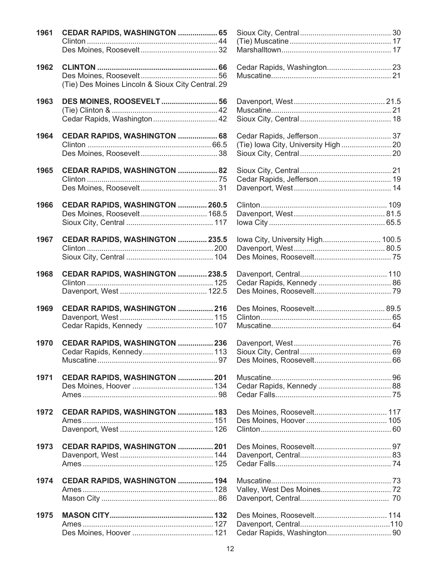| 1961 | CEDAR RAPIDS, WASHINGTON  65                      |  |
|------|---------------------------------------------------|--|
|      |                                                   |  |
|      |                                                   |  |
| 1962 |                                                   |  |
|      |                                                   |  |
|      | (Tie) Des Moines Lincoln & Sioux City Central. 29 |  |
| 1963 | <b>DES MOINES, ROOSEVELT  56</b>                  |  |
|      |                                                   |  |
|      | Cedar Rapids, Washington 42                       |  |
| 1964 | CEDAR RAPIDS, WASHINGTON  68                      |  |
|      |                                                   |  |
|      |                                                   |  |
| 1965 | CEDAR RAPIDS, WASHINGTON  82                      |  |
|      |                                                   |  |
|      |                                                   |  |
| 1966 | CEDAR RAPIDS, WASHINGTON  260.5                   |  |
|      | Des Moines, Roosevelt 168.5                       |  |
|      |                                                   |  |
| 1967 | CEDAR RAPIDS, WASHINGTON  235.5                   |  |
|      |                                                   |  |
|      |                                                   |  |
| 1968 | CEDAR RAPIDS, WASHINGTON  238.5                   |  |
|      |                                                   |  |
|      |                                                   |  |
| 1969 | CEDAR RAPIDS, WASHINGTON  216                     |  |
|      |                                                   |  |
|      |                                                   |  |
| 1970 | CEDAR RAPIDS, WASHINGTON  236                     |  |
|      |                                                   |  |
|      |                                                   |  |
| 1971 | CEDAR RAPIDS, WASHINGTON  201                     |  |
|      |                                                   |  |
|      |                                                   |  |
| 1972 | CEDAR RAPIDS, WASHINGTON  183                     |  |
|      |                                                   |  |
|      |                                                   |  |
| 1973 | CEDAR RAPIDS, WASHINGTON  201                     |  |
|      |                                                   |  |
|      |                                                   |  |
| 1974 | CEDAR RAPIDS, WASHINGTON  194                     |  |
|      |                                                   |  |
|      |                                                   |  |
| 1975 |                                                   |  |
|      |                                                   |  |
|      |                                                   |  |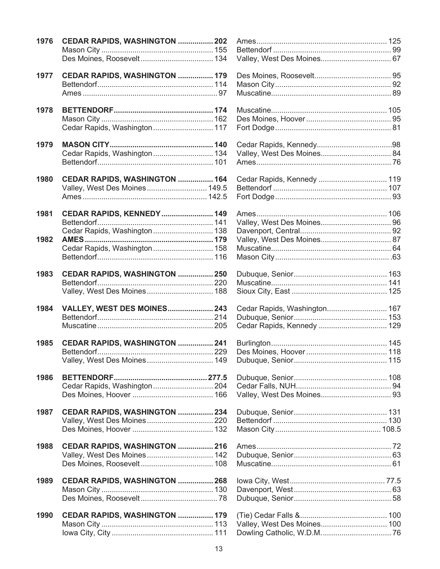| 1976 | CEDAR RAPIDS, WASHINGTON  202      |                             |  |
|------|------------------------------------|-----------------------------|--|
|      |                                    |                             |  |
|      |                                    |                             |  |
| 1977 | CEDAR RAPIDS, WASHINGTON  179      |                             |  |
|      |                                    |                             |  |
|      |                                    |                             |  |
| 1978 |                                    |                             |  |
|      |                                    |                             |  |
|      | Cedar Rapids, Washington 117       |                             |  |
| 1979 |                                    |                             |  |
|      | Cedar Rapids, Washington 134       |                             |  |
|      |                                    |                             |  |
| 1980 | CEDAR RAPIDS, WASHINGTON  164      | Cedar Rapids, Kennedy  119  |  |
|      | Valley, West Des Moines 149.5      |                             |  |
|      |                                    |                             |  |
| 1981 | CEDAR RAPIDS, KENNEDY  149         |                             |  |
|      |                                    |                             |  |
|      | Cedar Rapids, Washington 138       |                             |  |
| 1982 |                                    |                             |  |
|      | Cedar Rapids, Washington 158       |                             |  |
|      |                                    |                             |  |
| 1983 | CEDAR RAPIDS, WASHINGTON  250      |                             |  |
|      |                                    |                             |  |
|      |                                    |                             |  |
| 1984 | <b>VALLEY, WEST DES MOINES 243</b> |                             |  |
|      |                                    |                             |  |
|      |                                    | Cedar Rapids, Kennedy  129  |  |
| 1985 | CEDAR RAPIDS, WASHINGTON  241      |                             |  |
|      |                                    |                             |  |
|      | Valley, West Des Moines 149        |                             |  |
| 1986 |                                    |                             |  |
|      | Cedar Rapids, Washington  204      |                             |  |
|      |                                    |                             |  |
| 1987 | CEDAR RAPIDS, WASHINGTON  234      |                             |  |
|      | Valley, West Des Moines 220        |                             |  |
|      |                                    |                             |  |
| 1988 | CEDAR RAPIDS, WASHINGTON  216      |                             |  |
|      | Valley, West Des Moines 142        |                             |  |
|      |                                    |                             |  |
| 1989 | CEDAR RAPIDS, WASHINGTON  268      |                             |  |
|      |                                    |                             |  |
|      |                                    |                             |  |
| 1990 | CEDAR RAPIDS, WASHINGTON  179      |                             |  |
|      |                                    | Valley, West Des Moines 100 |  |
|      |                                    |                             |  |
|      |                                    |                             |  |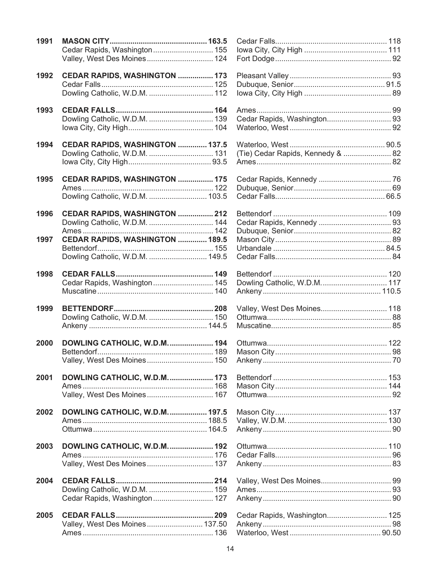| 1991 |                                      |                                   |  |
|------|--------------------------------------|-----------------------------------|--|
|      | Cedar Rapids, Washington 155         |                                   |  |
|      | Valley, West Des Moines 124          |                                   |  |
| 1992 | CEDAR RAPIDS, WASHINGTON  173        |                                   |  |
|      |                                      |                                   |  |
|      |                                      |                                   |  |
| 1993 |                                      |                                   |  |
|      |                                      |                                   |  |
|      |                                      |                                   |  |
| 1994 | CEDAR RAPIDS, WASHINGTON  137.5      |                                   |  |
|      |                                      | (Tie) Cedar Rapids, Kennedy &  82 |  |
|      |                                      |                                   |  |
| 1995 | CEDAR RAPIDS, WASHINGTON  175        |                                   |  |
|      |                                      |                                   |  |
|      |                                      |                                   |  |
| 1996 | CEDAR RAPIDS, WASHINGTON  212        |                                   |  |
|      |                                      |                                   |  |
|      |                                      |                                   |  |
| 1997 | CEDAR RAPIDS, WASHINGTON  189.5      |                                   |  |
|      |                                      |                                   |  |
|      | Dowling Catholic, W.D.M.  149.5      |                                   |  |
| 1998 |                                      |                                   |  |
|      | Cedar Rapids, Washington 145         |                                   |  |
|      |                                      |                                   |  |
| 1999 |                                      | Valley, West Des Moines 118       |  |
|      |                                      |                                   |  |
|      |                                      |                                   |  |
| 2000 | <b>DOWLING CATHOLIC, W.D.M.  194</b> |                                   |  |
|      |                                      |                                   |  |
|      | Valley, West Des Moines 150          |                                   |  |
| 2001 | DOWLING CATHOLIC, W.D.M.  173        |                                   |  |
|      |                                      |                                   |  |
|      | Valley, West Des Moines 167          |                                   |  |
| 2002 | DOWLING CATHOLIC, W.D.M.  197.5      |                                   |  |
|      |                                      |                                   |  |
|      |                                      |                                   |  |
| 2003 | DOWLING CATHOLIC, W.D.M.  192        |                                   |  |
|      |                                      |                                   |  |
|      | Valley, West Des Moines 137          |                                   |  |
| 2004 |                                      |                                   |  |
|      |                                      |                                   |  |
|      | Cedar Rapids, Washington  127        |                                   |  |
| 2005 |                                      | Cedar Rapids, Washington 125      |  |
|      | Valley, West Des Moines 137.50       |                                   |  |
|      |                                      |                                   |  |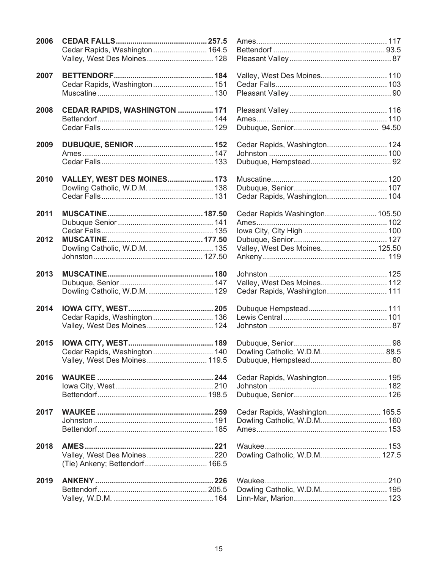| 2006 |                                    |                                |  |
|------|------------------------------------|--------------------------------|--|
|      | Cedar Rapids, Washington  164.5    |                                |  |
|      | Valley, West Des Moines 128        |                                |  |
| 2007 |                                    |                                |  |
|      | Cedar Rapids, Washington 151       |                                |  |
|      |                                    |                                |  |
| 2008 | CEDAR RAPIDS, WASHINGTON  171      |                                |  |
|      |                                    |                                |  |
|      |                                    |                                |  |
| 2009 |                                    | Cedar Rapids, Washington 124   |  |
|      |                                    |                                |  |
|      |                                    |                                |  |
| 2010 | <b>VALLEY, WEST DES MOINES 173</b> |                                |  |
|      |                                    |                                |  |
|      |                                    | Cedar Rapids, Washington 104   |  |
| 2011 |                                    | Cedar Rapids Washington 105.50 |  |
|      |                                    |                                |  |
|      |                                    |                                |  |
| 2012 |                                    |                                |  |
|      |                                    | Valley, West Des Moines 125.50 |  |
|      |                                    |                                |  |
| 2013 |                                    |                                |  |
|      |                                    | Valley, West Des Moines 112    |  |
|      |                                    |                                |  |
| 2014 |                                    |                                |  |
|      |                                    |                                |  |
|      | Valley, West Des Moines 124        |                                |  |
| 2015 |                                    |                                |  |
|      |                                    |                                |  |
|      | Valley, West Des Moines 119.5      |                                |  |
| 2016 |                                    | Cedar Rapids, Washington 195   |  |
|      |                                    |                                |  |
|      |                                    |                                |  |
| 2017 |                                    | Cedar Rapids, Washington 165.5 |  |
|      |                                    |                                |  |
|      |                                    |                                |  |
| 2018 |                                    |                                |  |
|      | Valley, West Des Moines 220        | Dowling Catholic, W.D.M 127.5  |  |
|      | (Tie) Ankeny; Bettendorf 166.5     |                                |  |
| 2019 |                                    |                                |  |
|      |                                    |                                |  |
|      |                                    |                                |  |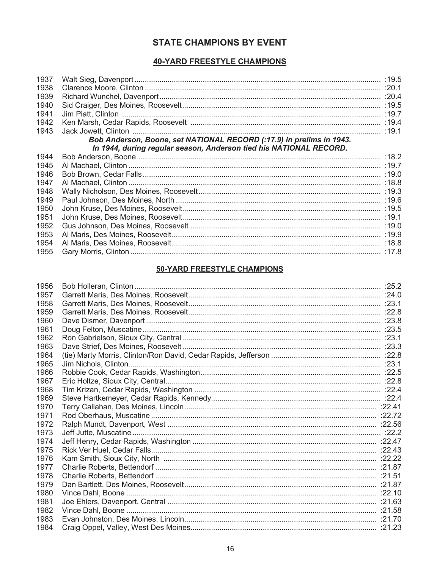# **STATE CHAMPIONS BY EVENT**

# **40-YARD FREESTYLE CHAMPIONS**

| 1937 |                                                                      |  |
|------|----------------------------------------------------------------------|--|
| 1938 |                                                                      |  |
| 1939 |                                                                      |  |
| 1940 |                                                                      |  |
| 1941 |                                                                      |  |
| 1942 |                                                                      |  |
| 1943 |                                                                      |  |
|      | Bob Anderson, Boone, set NATIONAL RECORD (:17.9) in prelims in 1943. |  |
|      | In 1944, during regular season, Anderson tied his NATIONAL RECORD.   |  |
| 1944 |                                                                      |  |
| 1945 |                                                                      |  |
| 1946 |                                                                      |  |
| 1947 |                                                                      |  |
| 1948 |                                                                      |  |
| 1949 |                                                                      |  |
| 1950 |                                                                      |  |
| 1951 |                                                                      |  |
| 1952 |                                                                      |  |
| 1953 |                                                                      |  |
| 1954 |                                                                      |  |
| 1955 |                                                                      |  |

| 1956 |  |
|------|--|
| 1957 |  |
| 1958 |  |
| 1959 |  |
| 1960 |  |
| 1961 |  |
| 1962 |  |
| 1963 |  |
| 1964 |  |
| 1965 |  |
| 1966 |  |
| 1967 |  |
| 1968 |  |
| 1969 |  |
| 1970 |  |
| 1971 |  |
| 1972 |  |
| 1973 |  |
| 1974 |  |
| 1975 |  |
| 1976 |  |
| 1977 |  |
| 1978 |  |
| 1979 |  |
| 1980 |  |
| 1981 |  |
| 1982 |  |
| 1983 |  |
| 1984 |  |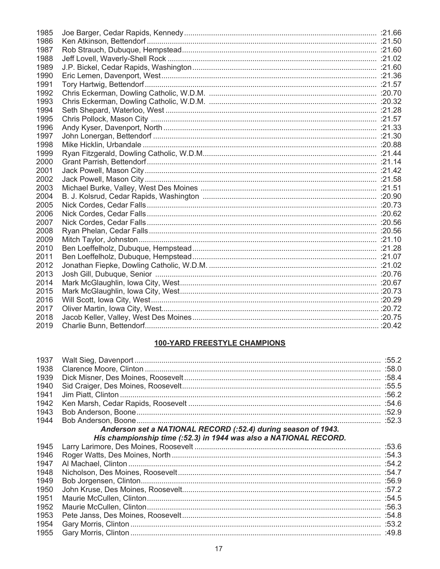| 1986<br>1987<br>1988<br>1989<br>1990<br>1991<br>1992<br>1993<br>1994<br>1995<br>1996<br>1997<br>1998<br>1999<br>2000<br>2001<br>2002<br>2003<br>2004<br>2005<br>2006<br>2007<br>2008<br>2009<br>2010<br>2011<br>2012<br>2013<br>2014<br>2015<br>2016<br>2017<br>2018<br>2019 | 1985 |  |
|------------------------------------------------------------------------------------------------------------------------------------------------------------------------------------------------------------------------------------------------------------------------------|------|--|
|                                                                                                                                                                                                                                                                              |      |  |
|                                                                                                                                                                                                                                                                              |      |  |
|                                                                                                                                                                                                                                                                              |      |  |
|                                                                                                                                                                                                                                                                              |      |  |
|                                                                                                                                                                                                                                                                              |      |  |
|                                                                                                                                                                                                                                                                              |      |  |
|                                                                                                                                                                                                                                                                              |      |  |
|                                                                                                                                                                                                                                                                              |      |  |
|                                                                                                                                                                                                                                                                              |      |  |
|                                                                                                                                                                                                                                                                              |      |  |
|                                                                                                                                                                                                                                                                              |      |  |
|                                                                                                                                                                                                                                                                              |      |  |
|                                                                                                                                                                                                                                                                              |      |  |
|                                                                                                                                                                                                                                                                              |      |  |
|                                                                                                                                                                                                                                                                              |      |  |
|                                                                                                                                                                                                                                                                              |      |  |
|                                                                                                                                                                                                                                                                              |      |  |
|                                                                                                                                                                                                                                                                              |      |  |
|                                                                                                                                                                                                                                                                              |      |  |
|                                                                                                                                                                                                                                                                              |      |  |
|                                                                                                                                                                                                                                                                              |      |  |
|                                                                                                                                                                                                                                                                              |      |  |
|                                                                                                                                                                                                                                                                              |      |  |
|                                                                                                                                                                                                                                                                              |      |  |
|                                                                                                                                                                                                                                                                              |      |  |
|                                                                                                                                                                                                                                                                              |      |  |
|                                                                                                                                                                                                                                                                              |      |  |
|                                                                                                                                                                                                                                                                              |      |  |
|                                                                                                                                                                                                                                                                              |      |  |
|                                                                                                                                                                                                                                                                              |      |  |
|                                                                                                                                                                                                                                                                              |      |  |
|                                                                                                                                                                                                                                                                              |      |  |
|                                                                                                                                                                                                                                                                              |      |  |
|                                                                                                                                                                                                                                                                              |      |  |

| 1937 |                                                                   |  |
|------|-------------------------------------------------------------------|--|
| 1938 |                                                                   |  |
| 1939 |                                                                   |  |
| 1940 |                                                                   |  |
| 1941 |                                                                   |  |
| 1942 |                                                                   |  |
| 1943 |                                                                   |  |
| 1944 |                                                                   |  |
|      | Anderson set a NATIONAL RECORD (:52.4) during season of 1943.     |  |
|      | His championship time (:52.3) in 1944 was also a NATIONAL RECORD. |  |
| 1945 |                                                                   |  |
| 1946 |                                                                   |  |
| 1947 |                                                                   |  |
| 1948 |                                                                   |  |
| 1949 |                                                                   |  |
| 1950 |                                                                   |  |
| 1951 |                                                                   |  |
| 1952 |                                                                   |  |
| 1953 |                                                                   |  |
| 1954 |                                                                   |  |
| 1955 |                                                                   |  |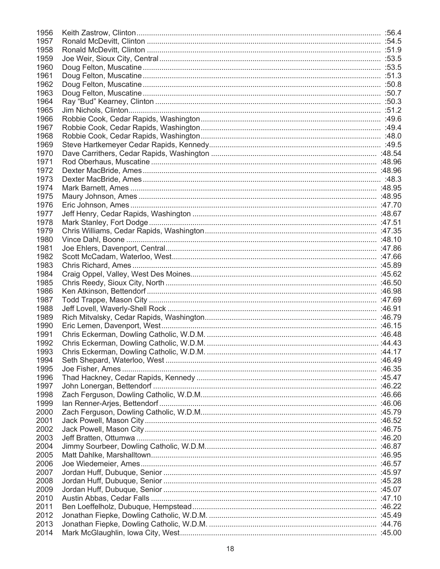| 1956 |  |
|------|--|
| 1957 |  |
| 1958 |  |
| 1959 |  |
| 1960 |  |
| 1961 |  |
| 1962 |  |
| 1963 |  |
| 1964 |  |
| 1965 |  |
| 1966 |  |
| 1967 |  |
| 1968 |  |
| 1969 |  |
| 1970 |  |
| 1971 |  |
| 1972 |  |
| 1973 |  |
| 1974 |  |
| 1975 |  |
| 1976 |  |
| 1977 |  |
| 1978 |  |
| 1979 |  |
| 1980 |  |
| 1981 |  |
| 1982 |  |
| 1983 |  |
| 1984 |  |
| 1985 |  |
| 1986 |  |
| 1987 |  |
| 1988 |  |
| 1989 |  |
| 1990 |  |
| 1991 |  |
| 1992 |  |
| 1993 |  |
| 1994 |  |
| 1995 |  |
| 1996 |  |
| 1997 |  |
| 1998 |  |
| 1999 |  |
| 2000 |  |
| 2001 |  |
| 2002 |  |
| 2003 |  |
| 2004 |  |
| 2005 |  |
| 2006 |  |
| 2007 |  |
| 2008 |  |
| 2009 |  |
| 2010 |  |
| 2011 |  |
| 2012 |  |
| 2013 |  |
| 2014 |  |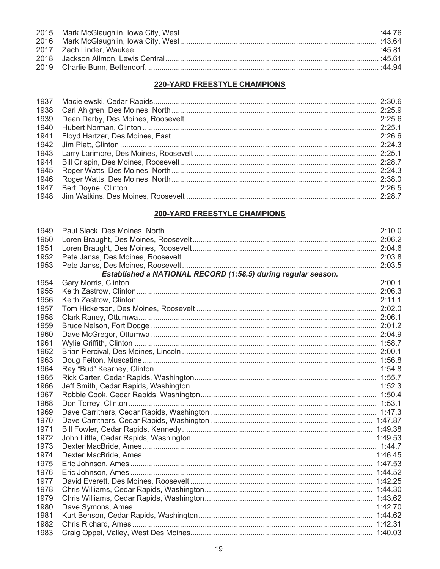# 220-YARD FREESTYLE CHAMPIONS

| 1949 |                                                               |  |
|------|---------------------------------------------------------------|--|
| 1950 |                                                               |  |
| 1951 |                                                               |  |
| 1952 |                                                               |  |
| 1953 |                                                               |  |
|      | Established a NATIONAL RECORD (1:58.5) during regular season. |  |
| 1954 |                                                               |  |
| 1955 |                                                               |  |
| 1956 |                                                               |  |
| 1957 |                                                               |  |
| 1958 |                                                               |  |
| 1959 |                                                               |  |
| 1960 |                                                               |  |
| 1961 |                                                               |  |
| 1962 |                                                               |  |
| 1963 |                                                               |  |
| 1964 |                                                               |  |
| 1965 |                                                               |  |
| 1966 |                                                               |  |
| 1967 |                                                               |  |
| 1968 |                                                               |  |
| 1969 |                                                               |  |
| 1970 |                                                               |  |
| 1971 |                                                               |  |
| 1972 |                                                               |  |
| 1973 |                                                               |  |
| 1974 |                                                               |  |
| 1975 |                                                               |  |
| 1976 |                                                               |  |
| 1977 |                                                               |  |
| 1978 |                                                               |  |
| 1979 |                                                               |  |
| 1980 |                                                               |  |
| 1981 |                                                               |  |
| 1982 |                                                               |  |
| 1983 |                                                               |  |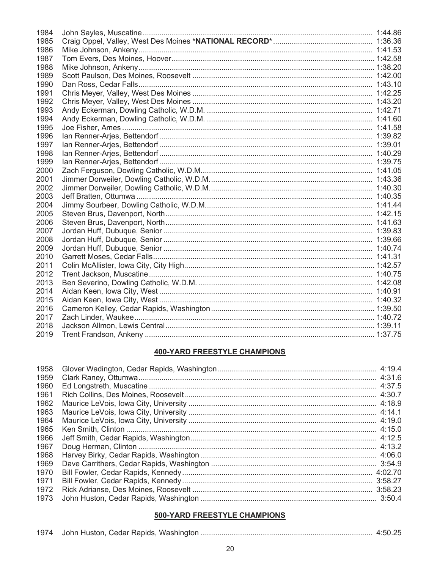| 1984 |  |
|------|--|
| 1985 |  |
| 1986 |  |
| 1987 |  |
| 1988 |  |
| 1989 |  |
| 1990 |  |
| 1991 |  |
| 1992 |  |
| 1993 |  |
| 1994 |  |
| 1995 |  |
| 1996 |  |
| 1997 |  |
| 1998 |  |
| 1999 |  |
| 2000 |  |
| 2001 |  |
| 2002 |  |
| 2003 |  |
| 2004 |  |
| 2005 |  |
| 2006 |  |
| 2007 |  |
| 2008 |  |
| 2009 |  |
| 2010 |  |
| 2011 |  |
| 2012 |  |
| 2013 |  |
| 2014 |  |
| 2015 |  |
| 2016 |  |
| 2017 |  |
| 2018 |  |
| 2019 |  |
|      |  |

# **400-YARD FREESTYLE CHAMPIONS**

| 1958 |  |
|------|--|
| 1959 |  |
| 1960 |  |
| 1961 |  |
| 1962 |  |
| 1963 |  |
| 1964 |  |
| 1965 |  |
| 1966 |  |
| 1967 |  |
| 1968 |  |
| 1969 |  |
| 1970 |  |
| 1971 |  |
| 1972 |  |
| 1973 |  |

|--|--|--|--|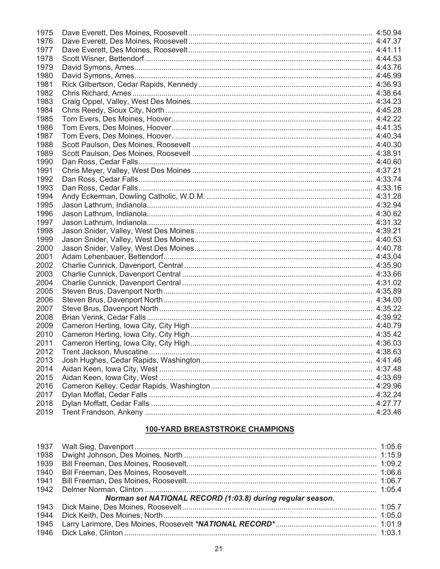| 1975 |  |
|------|--|
| 1976 |  |
| 1977 |  |
| 1978 |  |
| 1979 |  |
| 1980 |  |
| 1981 |  |
| 1982 |  |
| 1983 |  |
| 1984 |  |
| 1985 |  |
| 1986 |  |
| 1987 |  |
| 1988 |  |
| 1989 |  |
| 1990 |  |
| 1991 |  |
| 1992 |  |
| 1993 |  |
| 1994 |  |
| 1995 |  |
| 1996 |  |
| 1997 |  |
| 1998 |  |
| 1999 |  |
| 2000 |  |
| 2001 |  |
| 2002 |  |
| 2003 |  |
| 2004 |  |
| 2005 |  |
| 2006 |  |
| 2007 |  |
| 2008 |  |
| 2009 |  |
| 2010 |  |
| 2011 |  |
| 2012 |  |
| 2013 |  |
| 2014 |  |
| 2015 |  |
| 2016 |  |
| 2017 |  |
| 2018 |  |
| 2019 |  |

# 100-YARD BREASTSTROKE CHAMPIONS

| 1938                                                       |                                                                                                               |  |  |  |  |
|------------------------------------------------------------|---------------------------------------------------------------------------------------------------------------|--|--|--|--|
| 1939                                                       |                                                                                                               |  |  |  |  |
| 1940                                                       |                                                                                                               |  |  |  |  |
| 1941                                                       |                                                                                                               |  |  |  |  |
| 1942                                                       |                                                                                                               |  |  |  |  |
| Norman set NATIONAL RECORD (1:03.8) during regular season. |                                                                                                               |  |  |  |  |
|                                                            |                                                                                                               |  |  |  |  |
| 1944                                                       |                                                                                                               |  |  |  |  |
| 1945                                                       |                                                                                                               |  |  |  |  |
|                                                            | 1.03.1 = 1.03.1 = 1.03.1 = 1.03.1 = 1.03.1 = 1.03.1 = 1.03.1 = 1.03.1 = 1.03.1 = 1.03.1 = 1.03.1 = 1.03.1 = 1 |  |  |  |  |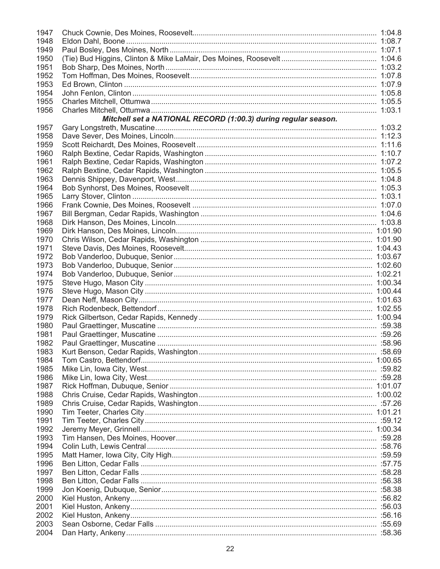| 1947 |                                                                |  |  |
|------|----------------------------------------------------------------|--|--|
| 1948 |                                                                |  |  |
| 1949 |                                                                |  |  |
| 1950 |                                                                |  |  |
| 1951 |                                                                |  |  |
| 1952 |                                                                |  |  |
| 1953 |                                                                |  |  |
| 1954 |                                                                |  |  |
| 1955 |                                                                |  |  |
| 1956 |                                                                |  |  |
|      | Mitchell set a NATIONAL RECORD (1:00.3) during regular season. |  |  |
|      |                                                                |  |  |
| 1957 |                                                                |  |  |
| 1958 |                                                                |  |  |
| 1959 |                                                                |  |  |
| 1960 |                                                                |  |  |
| 1961 |                                                                |  |  |
| 1962 |                                                                |  |  |
| 1963 |                                                                |  |  |
| 1964 |                                                                |  |  |
| 1965 |                                                                |  |  |
| 1966 |                                                                |  |  |
| 1967 |                                                                |  |  |
| 1968 |                                                                |  |  |
| 1969 |                                                                |  |  |
| 1970 |                                                                |  |  |
| 1971 |                                                                |  |  |
| 1972 |                                                                |  |  |
| 1973 |                                                                |  |  |
| 1974 |                                                                |  |  |
| 1975 |                                                                |  |  |
| 1976 |                                                                |  |  |
| 1977 |                                                                |  |  |
|      |                                                                |  |  |
| 1978 |                                                                |  |  |
| 1979 |                                                                |  |  |
| 1980 |                                                                |  |  |
| 1981 |                                                                |  |  |
| 1982 |                                                                |  |  |
| 1983 |                                                                |  |  |
| 1984 |                                                                |  |  |
| 1985 |                                                                |  |  |
| 1986 |                                                                |  |  |
| 1987 |                                                                |  |  |
| 1988 |                                                                |  |  |
| 1989 |                                                                |  |  |
| 1990 |                                                                |  |  |
| 1991 |                                                                |  |  |
| 1992 |                                                                |  |  |
| 1993 |                                                                |  |  |
| 1994 |                                                                |  |  |
| 1995 |                                                                |  |  |
| 1996 |                                                                |  |  |
| 1997 |                                                                |  |  |
| 1998 |                                                                |  |  |
| 1999 |                                                                |  |  |
| 2000 |                                                                |  |  |
|      |                                                                |  |  |
| 2001 |                                                                |  |  |
| 2002 |                                                                |  |  |
| 2003 |                                                                |  |  |
| 2004 |                                                                |  |  |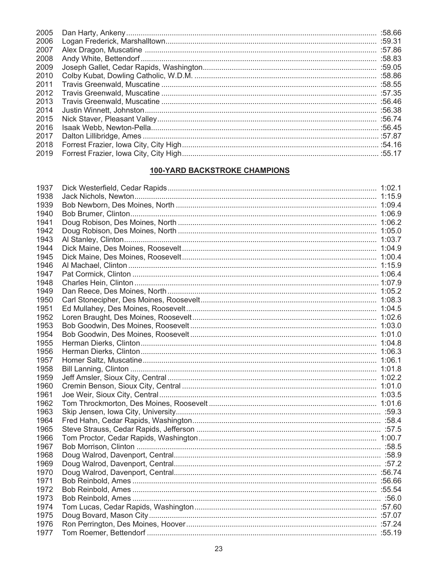| 2005 |  |
|------|--|
| 2006 |  |
| 2007 |  |
| 2008 |  |
| 2009 |  |
| 2010 |  |
| 2011 |  |
| 2012 |  |
| 2013 |  |
| 2014 |  |
| 2015 |  |
| 2016 |  |
| 2017 |  |
| 2018 |  |
| 2019 |  |
|      |  |

# **100-YARD BACKSTROKE CHAMPIONS**

| 1937 |  |
|------|--|
| 1938 |  |
| 1939 |  |
| 1940 |  |
| 1941 |  |
| 1942 |  |
| 1943 |  |
| 1944 |  |
| 1945 |  |
| 1946 |  |
| 1947 |  |
| 1948 |  |
| 1949 |  |
| 1950 |  |
| 1951 |  |
| 1952 |  |
| 1953 |  |
| 1954 |  |
| 1955 |  |
| 1956 |  |
| 1957 |  |
| 1958 |  |
| 1959 |  |
| 1960 |  |
| 1961 |  |
| 1962 |  |
| 1963 |  |
| 1964 |  |
| 1965 |  |
| 1966 |  |
| 1967 |  |
| 1968 |  |
| 1969 |  |
| 1970 |  |
| 1971 |  |
| 1972 |  |
| 1973 |  |
| 1974 |  |
| 1975 |  |
| 1976 |  |
| 1977 |  |
|      |  |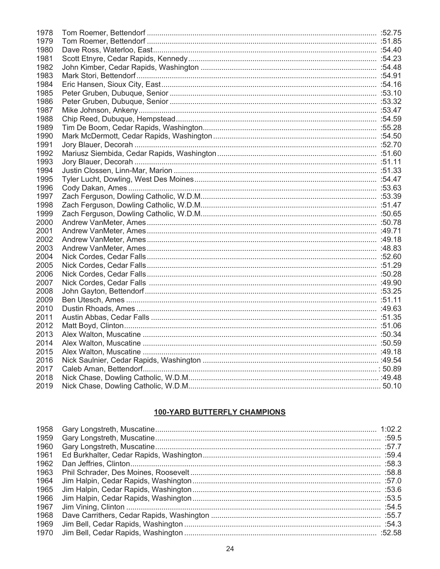| 1978 |  |
|------|--|
| 1979 |  |
| 1980 |  |
| 1981 |  |
| 1982 |  |
| 1983 |  |
| 1984 |  |
| 1985 |  |
| 1986 |  |
| 1987 |  |
| 1988 |  |
| 1989 |  |
| 1990 |  |
| 1991 |  |
| 1992 |  |
| 1993 |  |
| 1994 |  |
| 1995 |  |
| 1996 |  |
| 1997 |  |
| 1998 |  |
| 1999 |  |
| 2000 |  |
| 2001 |  |
| 2002 |  |
| 2003 |  |
| 2004 |  |
| 2005 |  |
| 2006 |  |
| 2007 |  |
| 2008 |  |
| 2009 |  |
| 2010 |  |
| 2011 |  |
| 2012 |  |
| 2013 |  |
| 2014 |  |
| 2015 |  |
| 2016 |  |
| 2017 |  |
| 2018 |  |
| 2019 |  |

# **100-YARD BUTTERFLY CHAMPIONS**

| 1958 |  |
|------|--|
| 1959 |  |
| 1960 |  |
| 1961 |  |
| 1962 |  |
| 1963 |  |
| 1964 |  |
| 1965 |  |
| 1966 |  |
| 1967 |  |
| 1968 |  |
| 1969 |  |
| 1970 |  |
|      |  |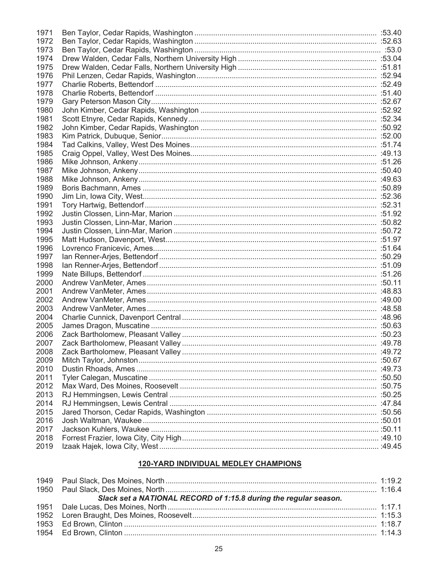| 1971 |  |
|------|--|
| 1972 |  |
| 1973 |  |
| 1974 |  |
| 1975 |  |
| 1976 |  |
| 1977 |  |
| 1978 |  |
| 1979 |  |
| 1980 |  |
| 1981 |  |
| 1982 |  |
| 1983 |  |
| 1984 |  |
| 1985 |  |
| 1986 |  |
| 1987 |  |
| 1988 |  |
| 1989 |  |
| 1990 |  |
| 1991 |  |
| 1992 |  |
| 1993 |  |
| 1994 |  |
| 1995 |  |
| 1996 |  |
| 1997 |  |
| 1998 |  |
| 1999 |  |
| 2000 |  |
| 2001 |  |
| 2002 |  |
| 2003 |  |
| 2004 |  |
| 2005 |  |
| 2006 |  |
| 2007 |  |
| 2008 |  |
| 2009 |  |
| 2010 |  |
| 2011 |  |
| 2012 |  |
| 2013 |  |
| 2014 |  |
| 2015 |  |
| 2016 |  |
| 2017 |  |
| 2018 |  |
| 2019 |  |

# **120-YARD INDIVIDUAL MEDLEY CHAMPIONS**

| Slack set a NATIONAL RECORD of 1:15.8 during the regular season. |  |
|------------------------------------------------------------------|--|
|                                                                  |  |
|                                                                  |  |
|                                                                  |  |
|                                                                  |  |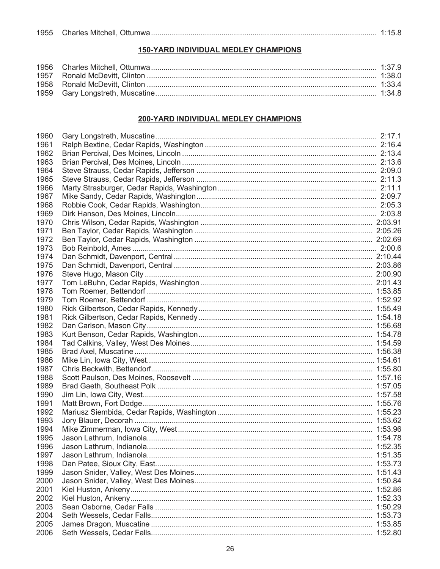| 1955 |  |  |  |
|------|--|--|--|
|------|--|--|--|

# **150-YARD INDIVIDUAL MEDLEY CHAMPIONS**

# 200-YARD INDIVIDUAL MEDLEY CHAMPIONS

| 1960 |  |
|------|--|
| 1961 |  |
| 1962 |  |
| 1963 |  |
| 1964 |  |
| 1965 |  |
| 1966 |  |
| 1967 |  |
| 1968 |  |
| 1969 |  |
| 1970 |  |
| 1971 |  |
| 1972 |  |
| 1973 |  |
| 1974 |  |
| 1975 |  |
| 1976 |  |
| 1977 |  |
| 1978 |  |
| 1979 |  |
| 1980 |  |
| 1981 |  |
| 1982 |  |
| 1983 |  |
| 1984 |  |
| 1985 |  |
| 1986 |  |
| 1987 |  |
| 1988 |  |
| 1989 |  |
| 1990 |  |
| 1991 |  |
| 1992 |  |
| 1993 |  |
| 1994 |  |
| 1995 |  |
| 1996 |  |
| 1997 |  |
| 1998 |  |
| 1999 |  |
| 2000 |  |
| 2001 |  |
| 2002 |  |
| 2003 |  |
| 2004 |  |
| 2005 |  |
| 2006 |  |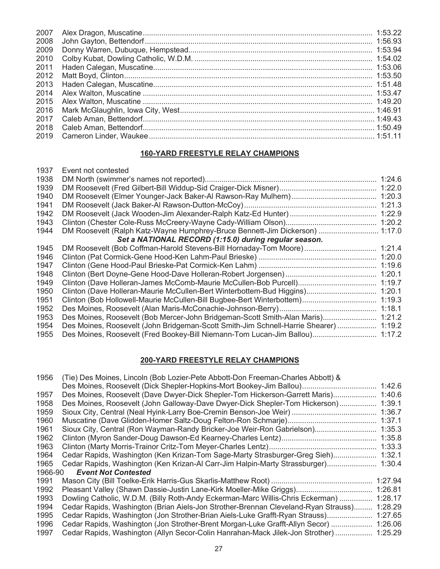| 2007 |  |
|------|--|
| 2008 |  |
| 2009 |  |
| 2010 |  |
| 2011 |  |
| 2012 |  |
| 2013 |  |
| 2014 |  |
| 2015 |  |
| 2016 |  |
| 2017 |  |
| 2018 |  |
| 2019 |  |
|      |  |

# **160-YARD FREESTYLE RELAY CHAMPIONS**

| 1937 | Event not contested                                                           |        |
|------|-------------------------------------------------------------------------------|--------|
| 1938 |                                                                               | 1:24.6 |
| 1939 |                                                                               |        |
| 1940 |                                                                               |        |
| 1941 |                                                                               | 1:21.3 |
| 1942 |                                                                               |        |
| 1943 |                                                                               |        |
| 1944 | DM Roosevelt (Ralph Katz-Wayne Humphrey-Bruce Bennett-Jim Dickerson)  1:17.0  |        |
|      | Set a NATIONAL RECORD (1:15.0) during regular season.                         |        |
| 1945 |                                                                               | 1:21.4 |
| 1946 |                                                                               | 1:20.0 |
| 1947 |                                                                               | 1:19.6 |
| 1948 |                                                                               | 1:20.1 |
| 1949 |                                                                               | 1:19.7 |
| 1950 |                                                                               | 1:20.1 |
| 1951 |                                                                               | 1:19.3 |
| 1952 |                                                                               |        |
| 1953 | Des Moines, Roosevelt (Bob Mercer-John Bridgeman-Scott Smith-Alan Maris)      | 1:21.2 |
| 1954 | Des Moines, Roosevelt (John Bridgeman-Scott Smith-Jim Schnell-Harrie Shearer) | 1:19.2 |
| 1955 | Des Moines, Roosevelt (Fred Bookey-Bill Niemann-Tom Lucan-Jim Ballou) 1:17.2  |        |
|      |                                                                               |        |

# **200-YARD FREESTYLE RELAY CHAMPIONS**

| 1956    | (Tie) Des Moines, Lincoln (Bob Lozier-Pete Abbott-Don Freeman-Charles Abbott) &    |         |
|---------|------------------------------------------------------------------------------------|---------|
|         | Des Moines, Roosevelt (Dick Shepler-Hopkins-Mort Bookey-Jim Ballou)                | 1:42.6  |
| 1957    | Des Moines, Roosevelt (Dave Dwyer-Dick Shepler-Tom Hickerson-Garrett Maris)        | 1:40.6  |
| 1958    | Des Moines, Roosevelt (John Galloway-Dave Dwyer-Dick Shepler-Tom Hickerson)        | 1:39.1  |
| 1959    |                                                                                    | 1:36.7  |
| 1960    |                                                                                    | 1:37.1  |
| 1961    | Sioux City, Central (Ron Wayman-Randy Bricker-Joe Weir-Ron Gabrielson)             | 1:35.3  |
| 1962    |                                                                                    | 1:35.8  |
| 1963    |                                                                                    | 1:33.3  |
| 1964    | Cedar Rapids, Washington (Ken Krizan-Tom Sage-Marty Strasburger-Greg Sieh)         | 1:32.1  |
| 1965    | Cedar Rapids, Washington (Ken Krizan-Al Carr-Jim Halpin-Marty Strassburger)        | 1:30.4  |
| 1966-90 | <b>Event Not Contested</b>                                                         |         |
| 1991    |                                                                                    | 1:27.94 |
| 1992    | Pleasant Valley (Shawn Dassie-Justin Lane-Kirk Moeller-Mike Griggs)                | 1:26.81 |
| 1993    | Dowling Catholic, W.D.M. (Billy Roth-Andy Eckerman-Marc Willis-Chris Eckerman)     | 1:28.17 |
| 1994    | Cedar Rapids, Washington (Brian Aiels-Jon Strother-Brennan Cleveland-Ryan Strauss) | 1:28.29 |
| 1995    | Cedar Rapids, Washington (Jon Strother-Brian Aiels-Luke Grafft-Ryan Strauss)       | 1:27.65 |
| 1996    | Cedar Rapids, Washington (Jon Strother-Brent Morgan-Luke Grafft-Allyn Secor)       | 1:26.06 |
| 1997    | Cedar Rapids, Washington (Allyn Secor-Colin Hanrahan-Mack Jilek-Jon Strother)      | 1:25.29 |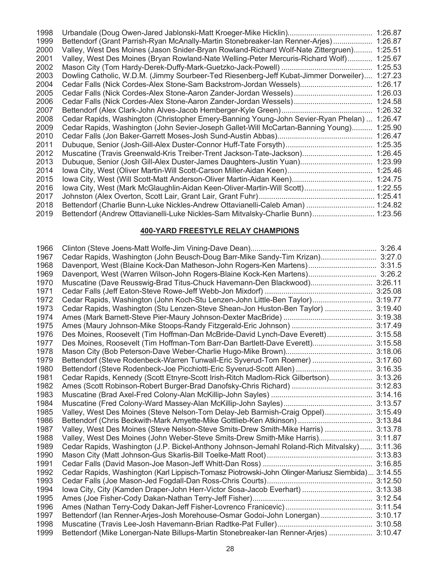| 1998 |                                                                                      | 1:26.87 |
|------|--------------------------------------------------------------------------------------|---------|
| 1999 | Bettendorf (Grant Parrish-Ryan McAnally-Martin Stonebreaker-lan Renner-Arjes)        | 1:26.87 |
| 2000 | Valley, West Des Moines (Jason Snider-Bryan Rowland-Richard Wolf-Nate Zittergruen)   | 1:25.51 |
| 2001 | Valley, West Des Moines (Bryan Rowland-Nate Welling-Peter Mercuris-Richard Wolf)     | 1:25.67 |
| 2002 |                                                                                      | 1:25.53 |
| 2003 | Dowling Catholic, W.D.M. (Jimmy Sourbeer-Ted Riesenberg-Jeff Kubat-Jimmer Dorweiler) | 1:27.23 |
| 2004 |                                                                                      | 1:26.17 |
| 2005 |                                                                                      | 1:26.03 |
| 2006 |                                                                                      | 1:24.58 |
| 2007 |                                                                                      | 1:26.32 |
| 2008 | Cedar Rapids, Washington (Christopher Emery-Banning Young-John Sevier-Ryan Phelan)   | 1:26.47 |
| 2009 | Cedar Rapids, Washington (John Sevier-Joseph Gallet-Will McCartan-Banning Young)     | 1:25.90 |
| 2010 |                                                                                      | 1:26.47 |
| 2011 |                                                                                      | 1:25.35 |
| 2012 | Muscatine (Travis Greenwald-Kris Treiber-Trent Jackson-Tate-Jackson)                 | 1:26.45 |
| 2013 | Dubuque, Senior (Josh Gill-Alex Duster-James Daughters-Justin Yuan)                  | 1:23.99 |
| 2014 |                                                                                      | 1:25.46 |
| 2015 |                                                                                      | 1:24.75 |
| 2016 | lowa City, West (Mark McGlaughlin-Aidan Keen-Oliver-Martin-Will Scott)               | 1:22.55 |
| 2017 |                                                                                      | 1:25.41 |
| 2018 | Bettendorf (Charlie Bunn-Luke Nickles-Andrew Ottavianelli-Caleb Aman)                | 1:24.82 |
| 2019 | Bettendorf (Andrew Ottavianelli-Luke Nickles-Sam Mitvalsky-Charlie Bunn) 1:23.56     |         |

# **400-YARD FREESTYLE RELAY CHAMPIONS**

| 1966 |                                                                                                  |  |
|------|--------------------------------------------------------------------------------------------------|--|
| 1967 | Cedar Rapids, Washington (John Beusch-Doug Barr-Mike Sandy-Tim Krizan) 3:27.0                    |  |
| 1968 | Davenport, West (Blaine Kock-Dan Matheson-John Rogers-Ken Martens) 3:31.5                        |  |
| 1969 | Davenport, West (Warren Wilson-John Rogers-Blaine Kock-Ken Martens) 3:26.2                       |  |
| 1970 | Muscatine (Dave Reusswig-Brad Titus-Chuck Havemann-Den Blackwood) 3:26.11                        |  |
| 1971 |                                                                                                  |  |
| 1972 | Cedar Rapids, Washington (John Koch-Stu Lenzen-John Little-Ben Taylor) 3:19.77                   |  |
| 1973 | Cedar Rapids, Washington (Stu Lenzen-Steve Shean-Jon Huston-Ben Taylor)  3:19.40                 |  |
| 1974 |                                                                                                  |  |
| 1975 |                                                                                                  |  |
| 1976 | Des Moines, Roosevelt (Tim Hoffman-Dan McBride-David Lynch-Dave Everett) 3:15.58                 |  |
| 1977 | Des Moines, Roosevelt (Tim Hoffman-Tom Barr-Dan Bartlett-Dave Everett) 3:15.58                   |  |
| 1978 |                                                                                                  |  |
| 1979 | Bettendorf (Steve Rodenbeck-Warren Tunwall-Eric Syverud-Tom Roemer)  3:17.60                     |  |
| 1980 |                                                                                                  |  |
| 1981 | Cedar Rapids, Kennedy (Scott Etnyre-Scott Irish-Ritch Madlom-Rick Gilbertson) 3:13.26            |  |
| 1982 |                                                                                                  |  |
| 1983 |                                                                                                  |  |
| 1984 |                                                                                                  |  |
| 1985 | Valley, West Des Moines (Steve Nelson-Tom Delay-Jeb Barmish-Craig Oppel) 3:15.49                 |  |
| 1986 |                                                                                                  |  |
| 1987 | Valley, West Des Moines (Steve Nelson-Steve Smits-Drew Smith-Mike Harris)  3:13.78               |  |
| 1988 | Valley, West Des Moines (John Weber-Steve Smits-Drew Smith-Mike Harris) 3:11.87                  |  |
| 1989 | Cedar Rapids, Washington (J.P. Bickel-Anthony Johnson-Jemahl Roland-Rich Mitvalsky) 3:11.36      |  |
| 1990 |                                                                                                  |  |
| 1991 |                                                                                                  |  |
| 1992 | Cedar Rapids, Washington (Karl Lippisch-Tomasz Piotrowski-John Olinger-Mariusz Siembida) 3:14.55 |  |
| 1993 |                                                                                                  |  |
| 1994 |                                                                                                  |  |
| 1995 |                                                                                                  |  |
| 1996 |                                                                                                  |  |
| 1997 | Bettendorf (Ian Renner-Arjes-Josh Morehouse-Osmar Godoi-John Lonergan) 3:10.17                   |  |
| 1998 |                                                                                                  |  |
| 1999 | Bettendorf (Mike Lonergan-Nate Billups-Martin Stonebreaker-lan Renner-Arjes)  3:10.47            |  |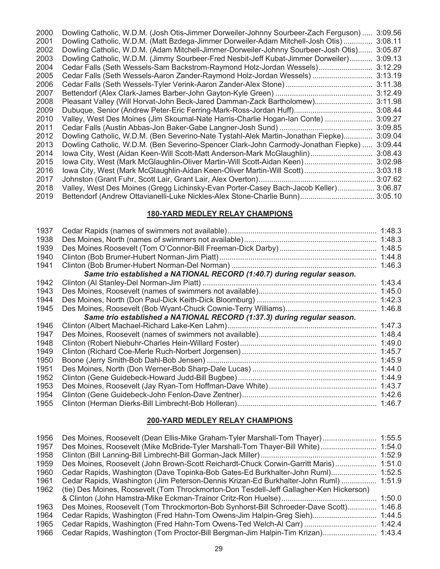| 2000 | Dowling Catholic, W.D.M. (Josh Otis-Jimmer Dorweiler-Johnny Sourbeer-Zach Ferguson) | 3:09.56 |
|------|-------------------------------------------------------------------------------------|---------|
| 2001 | Dowling Catholic, W.D.M. (Matt Bzdega-Jimmer Dorweiler-Adam Mitchell-Josh Otis)     | 3:08.11 |
| 2002 | Dowling Catholic, W.D.M. (Adam Mitchell-Jimmer-Dorweiler-Johnny Sourbeer-Josh Otis) | 3:05.87 |
| 2003 | Dowling Catholic, W.D.M. (Jimmy Sourbeer-Fred Nesbit-Jeff Kubat-Jimmer Dorweiler)   | 3:09.13 |
| 2004 | Cedar Falls (Seth Wessels-Sam Backstrom-Raymond Holz-Jordan Wessels)                | 3:12.29 |
| 2005 | Cedar Falls (Seth Wessels-Aaron Zander-Raymond Holz-Jordan Wessels)                 | 3:13.19 |
| 2006 |                                                                                     | 3:11.38 |
| 2007 |                                                                                     | 3:12.49 |
| 2008 | Pleasant Valley (Will Horvat-John Beck-Jared Damman-Zack Bartholomew)               | 3:11.98 |
| 2009 |                                                                                     | 3:08.44 |
| 2010 | Valley, West Des Moines (Jim Skoumal-Nate Harris-Charlie Hogan-Ian Conte)           | 3:09.27 |
| 2011 |                                                                                     | 3:09.85 |
| 2012 | Dowling Catholic, W.D.M. (Ben Severino-Nate Tystahl-Alek Martin-Jonathan Fiepke)    | 3:09.04 |
| 2013 | Dowling Catholic, W.D.M. (Ben Severino-Spencer Clark-John Carmody-Jonathan Fiepke)  | 3:09.44 |
| 2014 | lowa City, West (Aidan Keen-Will Scott-Matt Anderson-Mark McGlaughlin)              | 3:08.43 |
| 2015 | lowa City, West (Mark McGlaughlin-Oliver Martin-Will Scott-Aidan Keen)              | 3:02.98 |
| 2016 | lowa City, West (Mark McGlaughlin-Aidan Keen-Oliver Martin-Will Scott)              | 3:03.18 |
| 2017 |                                                                                     | 3:07.62 |
| 2018 | Valley, West Des Moines (Gregg Lichinsky-Evan Porter-Casey Bach-Jacob Keller)       | 3:06.87 |
| 2019 | Bettendorf (Andrew Ottavianelli-Luke Nickles-Alex Stone-Charlie Bunn)               | 3:05.10 |

#### **180-YARD MEDLEY RELAY CHAMPIONS**

| 1937 |                                                                         | 1:48.3 |
|------|-------------------------------------------------------------------------|--------|
| 1938 |                                                                         |        |
| 1939 |                                                                         | 1:48.5 |
| 1940 |                                                                         | 1:44.8 |
| 1941 |                                                                         | 1:46.3 |
|      | Same trio established a NATIONAL RECORD (1:40.7) during regular season. |        |
| 1942 |                                                                         | 1:43.4 |
| 1943 |                                                                         | 1:45.0 |
| 1944 |                                                                         | 1:42.3 |
| 1945 |                                                                         | 1:46.8 |
|      | Same trio established a NATIONAL RECORD (1:37.3) during regular season. |        |
| 1946 |                                                                         | 1:47.3 |
| 1947 |                                                                         |        |
| 1948 |                                                                         | 1:49.0 |
| 1949 |                                                                         | 1:45.7 |
| 1950 |                                                                         | 1:45.9 |
| 1951 |                                                                         | 1:44.0 |
| 1952 |                                                                         | 1:44.9 |
| 1953 |                                                                         | 1:43.7 |
| 1954 |                                                                         | 1:42.6 |
| 1955 |                                                                         | 1:46.7 |

# **200-YARD MEDLEY RELAY CHAMPIONS**

| 1956 | Des Moines, Roosevelt (Dean Ellis-Mike Graham-Tyler Marshall-Tom Thayer)  1:55.5        |  |
|------|-----------------------------------------------------------------------------------------|--|
| 1957 | Des Moines, Roosevelt (Mike McBride-Tyler Marshall-Tom Thayer-Bill White) 1:54.0        |  |
| 1958 |                                                                                         |  |
| 1959 | Des Moines, Roosevelt (John Brown-Scott Reichardt-Chuck Corwin-Garritt Maris) 1:51.0    |  |
| 1960 | Cedar Rapids, Washington (Dave Topinka-Bob Gates-Ed Burkhalter-John Ruml) 1:52.5        |  |
| 1961 | Cedar Rapids, Washington (Jim Peterson-Dennis Krizan-Ed Burkhalter-John Ruml)  1:51.9   |  |
| 1962 | (tie) Des Moines, Roosevelt (Tom Throckmorton-Don Tesdell-Jeff Gallagher-Ken Hickerson) |  |
|      |                                                                                         |  |
| 1963 | Des Moines, Roosevelt (Tom Throckmorton-Bob Synhorst-Bill Schroeder-Dave Scott) 1:46.8  |  |
| 1964 | Cedar Rapids, Washington (Fred Hahn-Tom Owens-Jim Halpin-Greg Sieh) 1:44.5              |  |
| 1965 |                                                                                         |  |
| 1966 | Cedar Rapids, Washington (Tom Proctor-Bill Bergman-Jim Halpin-Tim Krizan) 1:43.4        |  |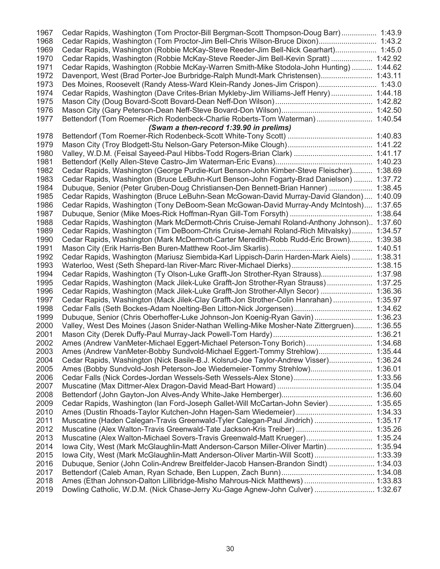| 1967 | Cedar Rapids, Washington (Tom Proctor-Bill Bergman-Scott Thompson-Doug Barr) 1:43.9          |  |
|------|----------------------------------------------------------------------------------------------|--|
| 1968 | Cedar Rapids, Washington (Tom Proctor-Jim Bell-Chris Wilson-Bruce Dixon) 1:43.2              |  |
| 1969 | Cedar Rapids, Washington (Robbie McKay-Steve Reeder-Jim Bell-Nick Gearhart) 1:45.0           |  |
| 1970 | Cedar Rapids, Washington (Robbie McKay-Steve Reeder-Jim Bell-Kevin Spratt)  1:42.92          |  |
| 1971 | Cedar Rapids, Washington (Robbie McKay-Warren Smith-Mike Stodola-John Hunting) 1:44.62       |  |
| 1972 | Davenport, West (Brad Porter-Joe Burbridge-Ralph Mundt-Mark Christensen) 1:43.11             |  |
| 1973 | Des Moines, Roosevelt (Randy Atess-Ward Klein-Randy Jones-Jim Crispon) 1:43.0                |  |
| 1974 | Cedar Rapids, Washington (Dave Crites-Brian Mykleby-Jim Williams-Jeff Henry) 1:44.18         |  |
| 1975 |                                                                                              |  |
| 1976 |                                                                                              |  |
| 1977 | Bettendorf (Tom Roemer-Rich Rodenbeck-Charlie Roberts-Tom Waterman) 1:40.54                  |  |
|      | (Swam a then-record 1:39.90 in prelims)                                                      |  |
| 1978 |                                                                                              |  |
| 1979 |                                                                                              |  |
| 1980 |                                                                                              |  |
| 1981 |                                                                                              |  |
| 1982 | Cedar Rapids, Washington (George Purdie-Kurt Benson-John Kimber-Steve Fleischer) 1:38.69     |  |
| 1983 | Cedar Rapids, Washington (Bruce LeBuhn-Kurt Benson-John Fogarty-Brad Danielson)  1:37.72     |  |
| 1984 | Dubuque, Senior (Peter Gruben-Doug Christiansen-Den Bennett-Brian Hanner)  1:38.45           |  |
|      |                                                                                              |  |
| 1985 | Cedar Rapids, Washington (Bruce LeBuhn-Sean McGowan-David Murray-David Glandon) 1:40.09      |  |
| 1986 | Cedar Rapids, Washington (Tony DeBoom-Sean McGowan-David Murray-Andy McIntosh) 1:37.65       |  |
| 1987 |                                                                                              |  |
| 1988 | Cedar Rapids, Washington (Mark McDermott-Chris Cruise-Jemahl Roland-Anthony Johnson) 1:37.60 |  |
| 1989 | Cedar Rapids, Washington (Tim DeBoom-Chris Cruise-Jemahl Roland-Rich Mitvalsky) 1:34.57      |  |
| 1990 | Cedar Rapids, Washington (Mark McDermott-Carter Meredith-Robb Rudd-Eric Brown) 1:39.38       |  |
| 1991 |                                                                                              |  |
| 1992 | Cedar Rapids, Washington (Mariusz Siembida-Karl Lippisch-Darin Harden-Mark Aiels) 1:38.31    |  |
| 1993 |                                                                                              |  |
| 1994 | Cedar Rapids, Washington (Ty Olson-Luke Grafft-Jon Strother-Ryan Strauss) 1:37.98            |  |
| 1995 | Cedar Rapids, Washington (Mack Jilek-Luke Grafft-Jon Strother-Ryan Strauss) 1:37.25          |  |
| 1996 | Cedar Rapids, Washington (Mack Jilek-Luke Grafft-Jon Strother-Allyn Secor)  1:36.36          |  |
| 1997 | Cedar Rapids, Washington (Mack Jilek-Clay Grafft-Jon Strother-Colin Hanrahan)  1:35.97       |  |
| 1998 |                                                                                              |  |
| 1999 | Dubuque, Senior (Chris Oberhoffer-Luke Johnson-Jon Koenig-Ryan Gavin) 1:36.23                |  |
| 2000 | Valley, West Des Moines (Jason Snider-Nathan Welling-Mike Mosher-Nate Zittergruen) 1:36.55   |  |
| 2001 |                                                                                              |  |
| 2002 | Ames (Andrew VanMeter-Michael Eggert-Michael Peterson-Tony Borich) 1:34.68                   |  |
| 2003 | Ames (Andrew VanMeter-Bobby Sundvold-Michael Eggert-Tommy Strehlow) 1:35.44                  |  |
| 2004 | Cedar Rapids, Washington (Nick Basile-B.J. Kolsrud-Joe Taylor-Andrew Visser) 1:36.24         |  |
| 2005 | Ames (Bobby Sundvold-Josh Peterson-Joe Wiedemeier-Tommy Strehlow) 1:36.01                    |  |
| 2006 |                                                                                              |  |
| 2007 |                                                                                              |  |
| 2008 |                                                                                              |  |
| 2009 | Cedar Rapids, Washington (Ian Ford-Joseph Gallet-Will McCartan-John Sevier) 1:35.65          |  |
| 2010 |                                                                                              |  |
| 2011 | Muscatine (Haden Calegan-Travis Greenwald-Tyler Calegan-Paul Jindrich)  1:35.17              |  |
| 2012 |                                                                                              |  |
| 2013 | Muscatine (Alex Walton-Michael Sovers-Travis Greenwald-Matt Krueger) 1:35.24                 |  |
| 2014 | lowa City, West (Mark McGlaughlin-Matt Anderson-Carson Miller-Oliver Martin) 1:35.94         |  |
| 2015 | lowa City, West (Mark McGlaughlin-Matt Anderson-Oliver Martin-Will Scott)  1:33.39           |  |
| 2016 | Dubuque, Senior (John Colin-Andrew Breitfelder-Jacob Hansen-Brandon Sindt)  1:34.03          |  |
| 2017 |                                                                                              |  |
| 2018 | Ames (Ethan Johnson-Dalton Lillibridge-Misho Mahrous-Nick Matthews)  1:33.83                 |  |
| 2019 | Dowling Catholic, W.D.M. (Nick Chase-Jerry Xu-Gage Agnew-John Culver)  1:32.67               |  |
|      |                                                                                              |  |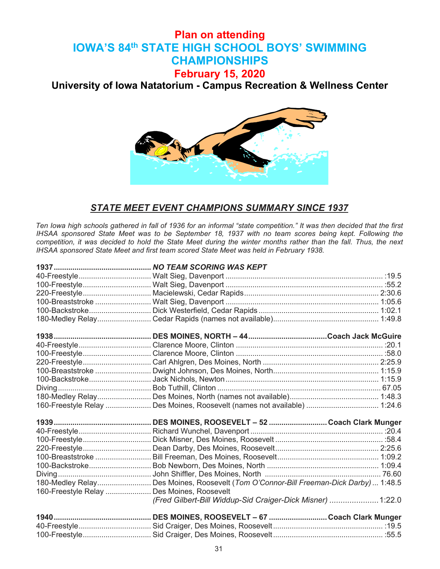# **Plan on attending IOWA'S 84th STATE HIGH SCHOOL BOYS' SWIMMING CHAMPIONSHIPS**

# **February 15, 2020**

**University of Iowa Natatorium - Campus Recreation & Wellness Center**



# *STATE MEET EVENT CHAMPIONS SUMMARY SINCE 1937*

*Ten Iowa high schools gathered in fall of 1936 for an informal "state competition." It was then decided that the first IHSAA sponsored State Meet was to be September 18, 1937 with no team scores being kept. Following the competition, it was decided to hold the State Meet during the winter months rather than the fall. Thus, the next IHSAA sponsored State Meet and first team scored State Meet was held in February 1938.*

|                     | 160-Freestyle Relay  Des Moines, Roosevelt (names not available)  1:24.6              |  |
|---------------------|---------------------------------------------------------------------------------------|--|
|                     |                                                                                       |  |
|                     |                                                                                       |  |
| 100-Freestyle       |                                                                                       |  |
| 220-Freestyle       |                                                                                       |  |
|                     |                                                                                       |  |
|                     |                                                                                       |  |
|                     |                                                                                       |  |
|                     | 180-Medley Relay Des Moines, Roosevelt (Tom O'Connor-Bill Freeman-Dick Darby)  1:48.5 |  |
| 160-Freestyle Relay | Des Moines, Roosevelt                                                                 |  |
|                     | (Fred Gilbert-Bill Widdup-Sid Craiger-Dick Misner)  1:22.0                            |  |
|                     |                                                                                       |  |
|                     |                                                                                       |  |
|                     |                                                                                       |  |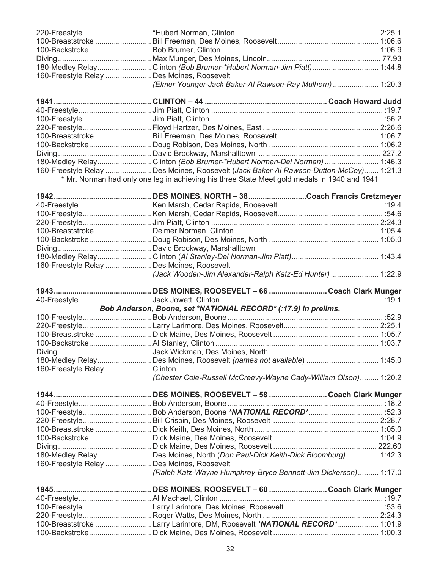| 180-Medley RelayClinton (Bob Brumer-*Hubert Norman-Jim Piatt) 1:44.8 |                                                          |
|----------------------------------------------------------------------|----------------------------------------------------------|
| 160-Freestyle Relay  Des Moines, Roosevelt                           |                                                          |
|                                                                      |                                                          |
|                                                                      | (Elmer Younger-Jack Baker-Al Rawson-Ray Mulhern)  1:20.3 |

| 160-Freestyle Relay  Des Moines, Roosevelt (Jack Baker-Al Rawson-Dutton-McCoy) 1:21.3        |  |
|----------------------------------------------------------------------------------------------|--|
| * Mr. Norman had only one leg in achieving his three State Meet gold medals in 1940 and 1941 |  |

| 160-Freestyle Relay  Des Moines, Roosevelt |                                                          |  |
|--------------------------------------------|----------------------------------------------------------|--|
|                                            | (Jack Wooden-Jim Alexander-Ralph Katz-Ed Hunter)  1:22.9 |  |

|                              | Bob Anderson, Boone, set *NATIONAL RECORD* (:17.9) in prelims.  |  |
|------------------------------|-----------------------------------------------------------------|--|
|                              |                                                                 |  |
|                              |                                                                 |  |
|                              |                                                                 |  |
|                              |                                                                 |  |
|                              |                                                                 |  |
|                              |                                                                 |  |
| 160-Freestyle Relay  Clinton |                                                                 |  |
|                              | (Chester Cole-Russell McCreevy-Wayne Cady-William Olson) 1:20.2 |  |

| 160-Freestyle Relay  Des Moines, Roosevelt |                                                                |  |
|--------------------------------------------|----------------------------------------------------------------|--|
|                                            | (Ralph Katz-Wayne Humphrey-Bryce Bennett-Jim Dickerson) 1:17.0 |  |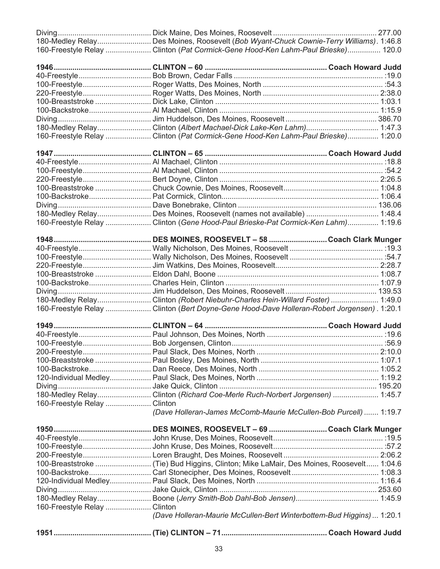| 100-Freestyle<br>220-Freestyle<br>100-Breaststroke<br>180-Medley Relay<br>Clinton (Pat Cormick-Gene Hood-Ken Lahm-Paul Brieske) 1:20.0<br>160-Freestyle Relay<br>180-Medley Relay<br>160-Freestyle Relay<br>Clinton (Gene Hood-Paul Brieske-Pat Cormick-Ken Lahm) 1:19.6<br>180-Medley Relay<br>Clinton (Robert Niebuhr-Charles Hein-Willard Foster)  1:49.0<br>160-Freestyle Relay<br>Clinton (Bert Doyne-Gene Hood-Dave Holleran-Robert Jorgensen). 1:20.1<br>100-Freestyle<br>160-Freestyle Relay  Clinton<br>(Dave Holleran-James McComb-Maurie McCullen-Bob Purcell)  1:19.7<br>160-Freestyle Relay  Clinton<br>(Dave Holleran-Maurie McCullen-Bert Winterbottem-Bud Higgins)  1:20.1 |
|--------------------------------------------------------------------------------------------------------------------------------------------------------------------------------------------------------------------------------------------------------------------------------------------------------------------------------------------------------------------------------------------------------------------------------------------------------------------------------------------------------------------------------------------------------------------------------------------------------------------------------------------------------------------------------------------|
|                                                                                                                                                                                                                                                                                                                                                                                                                                                                                                                                                                                                                                                                                            |
|                                                                                                                                                                                                                                                                                                                                                                                                                                                                                                                                                                                                                                                                                            |
|                                                                                                                                                                                                                                                                                                                                                                                                                                                                                                                                                                                                                                                                                            |
|                                                                                                                                                                                                                                                                                                                                                                                                                                                                                                                                                                                                                                                                                            |
|                                                                                                                                                                                                                                                                                                                                                                                                                                                                                                                                                                                                                                                                                            |
|                                                                                                                                                                                                                                                                                                                                                                                                                                                                                                                                                                                                                                                                                            |
|                                                                                                                                                                                                                                                                                                                                                                                                                                                                                                                                                                                                                                                                                            |
|                                                                                                                                                                                                                                                                                                                                                                                                                                                                                                                                                                                                                                                                                            |
|                                                                                                                                                                                                                                                                                                                                                                                                                                                                                                                                                                                                                                                                                            |
|                                                                                                                                                                                                                                                                                                                                                                                                                                                                                                                                                                                                                                                                                            |
|                                                                                                                                                                                                                                                                                                                                                                                                                                                                                                                                                                                                                                                                                            |
|                                                                                                                                                                                                                                                                                                                                                                                                                                                                                                                                                                                                                                                                                            |
|                                                                                                                                                                                                                                                                                                                                                                                                                                                                                                                                                                                                                                                                                            |
|                                                                                                                                                                                                                                                                                                                                                                                                                                                                                                                                                                                                                                                                                            |
|                                                                                                                                                                                                                                                                                                                                                                                                                                                                                                                                                                                                                                                                                            |
|                                                                                                                                                                                                                                                                                                                                                                                                                                                                                                                                                                                                                                                                                            |
|                                                                                                                                                                                                                                                                                                                                                                                                                                                                                                                                                                                                                                                                                            |
|                                                                                                                                                                                                                                                                                                                                                                                                                                                                                                                                                                                                                                                                                            |
|                                                                                                                                                                                                                                                                                                                                                                                                                                                                                                                                                                                                                                                                                            |
|                                                                                                                                                                                                                                                                                                                                                                                                                                                                                                                                                                                                                                                                                            |
|                                                                                                                                                                                                                                                                                                                                                                                                                                                                                                                                                                                                                                                                                            |
|                                                                                                                                                                                                                                                                                                                                                                                                                                                                                                                                                                                                                                                                                            |
|                                                                                                                                                                                                                                                                                                                                                                                                                                                                                                                                                                                                                                                                                            |
|                                                                                                                                                                                                                                                                                                                                                                                                                                                                                                                                                                                                                                                                                            |
|                                                                                                                                                                                                                                                                                                                                                                                                                                                                                                                                                                                                                                                                                            |
|                                                                                                                                                                                                                                                                                                                                                                                                                                                                                                                                                                                                                                                                                            |
|                                                                                                                                                                                                                                                                                                                                                                                                                                                                                                                                                                                                                                                                                            |
|                                                                                                                                                                                                                                                                                                                                                                                                                                                                                                                                                                                                                                                                                            |
|                                                                                                                                                                                                                                                                                                                                                                                                                                                                                                                                                                                                                                                                                            |
|                                                                                                                                                                                                                                                                                                                                                                                                                                                                                                                                                                                                                                                                                            |
|                                                                                                                                                                                                                                                                                                                                                                                                                                                                                                                                                                                                                                                                                            |
|                                                                                                                                                                                                                                                                                                                                                                                                                                                                                                                                                                                                                                                                                            |
|                                                                                                                                                                                                                                                                                                                                                                                                                                                                                                                                                                                                                                                                                            |
|                                                                                                                                                                                                                                                                                                                                                                                                                                                                                                                                                                                                                                                                                            |
|                                                                                                                                                                                                                                                                                                                                                                                                                                                                                                                                                                                                                                                                                            |
|                                                                                                                                                                                                                                                                                                                                                                                                                                                                                                                                                                                                                                                                                            |
|                                                                                                                                                                                                                                                                                                                                                                                                                                                                                                                                                                                                                                                                                            |
|                                                                                                                                                                                                                                                                                                                                                                                                                                                                                                                                                                                                                                                                                            |
|                                                                                                                                                                                                                                                                                                                                                                                                                                                                                                                                                                                                                                                                                            |
|                                                                                                                                                                                                                                                                                                                                                                                                                                                                                                                                                                                                                                                                                            |
|                                                                                                                                                                                                                                                                                                                                                                                                                                                                                                                                                                                                                                                                                            |
|                                                                                                                                                                                                                                                                                                                                                                                                                                                                                                                                                                                                                                                                                            |
|                                                                                                                                                                                                                                                                                                                                                                                                                                                                                                                                                                                                                                                                                            |
|                                                                                                                                                                                                                                                                                                                                                                                                                                                                                                                                                                                                                                                                                            |
|                                                                                                                                                                                                                                                                                                                                                                                                                                                                                                                                                                                                                                                                                            |
|                                                                                                                                                                                                                                                                                                                                                                                                                                                                                                                                                                                                                                                                                            |
|                                                                                                                                                                                                                                                                                                                                                                                                                                                                                                                                                                                                                                                                                            |
|                                                                                                                                                                                                                                                                                                                                                                                                                                                                                                                                                                                                                                                                                            |
|                                                                                                                                                                                                                                                                                                                                                                                                                                                                                                                                                                                                                                                                                            |
|                                                                                                                                                                                                                                                                                                                                                                                                                                                                                                                                                                                                                                                                                            |
|                                                                                                                                                                                                                                                                                                                                                                                                                                                                                                                                                                                                                                                                                            |
|                                                                                                                                                                                                                                                                                                                                                                                                                                                                                                                                                                                                                                                                                            |
|                                                                                                                                                                                                                                                                                                                                                                                                                                                                                                                                                                                                                                                                                            |
|                                                                                                                                                                                                                                                                                                                                                                                                                                                                                                                                                                                                                                                                                            |
| Clinton (Pat Cormick-Gene Hood-Ken Lahm-Paul Brieske) 120.0<br>160-Freestyle Relay                                                                                                                                                                                                                                                                                                                                                                                                                                                                                                                                                                                                         |
| Des Moines, Roosevelt (Bob Wyant-Chuck Cownie-Terry Williams). 1:46.8<br>180-Medley Relay                                                                                                                                                                                                                                                                                                                                                                                                                                                                                                                                                                                                  |
|                                                                                                                                                                                                                                                                                                                                                                                                                                                                                                                                                                                                                                                                                            |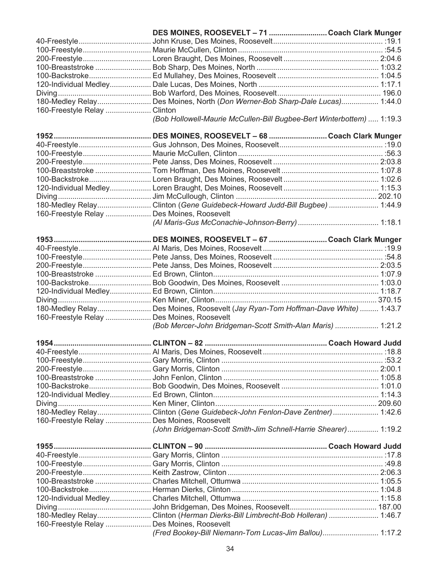|                                            | DES MOINES, ROOSEVELT - 71  Coach Clark Munger                                   |  |
|--------------------------------------------|----------------------------------------------------------------------------------|--|
| 40-Freestyle                               |                                                                                  |  |
|                                            |                                                                                  |  |
|                                            |                                                                                  |  |
|                                            |                                                                                  |  |
|                                            |                                                                                  |  |
|                                            |                                                                                  |  |
|                                            |                                                                                  |  |
|                                            | 180-Medley Relay Des Moines, North (Don Werner-Bob Sharp-Dale Lucas) 1:44.0      |  |
| 160-Freestyle Relay  Clinton               |                                                                                  |  |
|                                            | (Bob Hollowell-Maurie McCullen-Bill Bugbee-Bert Winterbottem)  1:19.3            |  |
|                                            |                                                                                  |  |
|                                            |                                                                                  |  |
|                                            |                                                                                  |  |
|                                            |                                                                                  |  |
|                                            |                                                                                  |  |
|                                            |                                                                                  |  |
|                                            |                                                                                  |  |
|                                            |                                                                                  |  |
|                                            |                                                                                  |  |
| 160-Freestyle Relay  Des Moines, Roosevelt |                                                                                  |  |
|                                            |                                                                                  |  |
|                                            |                                                                                  |  |
|                                            |                                                                                  |  |
|                                            |                                                                                  |  |
|                                            |                                                                                  |  |
|                                            |                                                                                  |  |
|                                            |                                                                                  |  |
|                                            |                                                                                  |  |
|                                            |                                                                                  |  |
|                                            | 180-Medley Relay Des Moines, Roosevelt (Jay Ryan-Tom Hoffman-Dave White)  1:43.7 |  |
| 160-Freestyle Relay                        | Des Moines, Roosevelt                                                            |  |
|                                            | (Bob Mercer-John Bridgeman-Scott Smith-Alan Maris)  1:21.2                       |  |
|                                            |                                                                                  |  |
|                                            |                                                                                  |  |
|                                            |                                                                                  |  |
|                                            |                                                                                  |  |
|                                            |                                                                                  |  |
|                                            |                                                                                  |  |
|                                            |                                                                                  |  |
|                                            |                                                                                  |  |
|                                            | 180-Medley Relay Clinton (Gene Guidebeck-John Fenlon-Dave Zentner) 1:42.6        |  |
| 160-Freestyle Relay  Des Moines, Roosevelt |                                                                                  |  |
|                                            | (John Bridgeman-Scott Smith-Jim Schnell-Harrie Shearer) 1:19.2                   |  |
|                                            |                                                                                  |  |
|                                            |                                                                                  |  |
|                                            |                                                                                  |  |
|                                            |                                                                                  |  |
|                                            |                                                                                  |  |
|                                            |                                                                                  |  |
|                                            |                                                                                  |  |
|                                            |                                                                                  |  |
|                                            | 180-Medley Relay Clinton (Herman Dierks-Bill Limbrecht-Bob Holleran)  1:46.7     |  |
| 160-Freestyle Relay  Des Moines, Roosevelt |                                                                                  |  |
|                                            | (Fred Bookey-Bill Niemann-Tom Lucas-Jim Ballou) 1:17.2                           |  |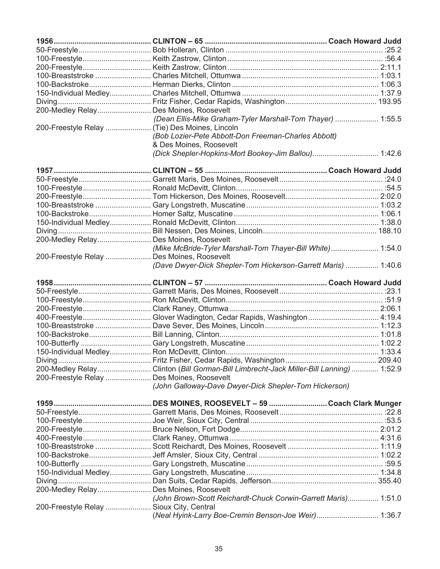| 200-Medley Relay Des Moines, Roosevelt         |                                                                                        |  |
|------------------------------------------------|----------------------------------------------------------------------------------------|--|
|                                                | (Dean Ellis-Mike Graham-Tyler Marshall-Tom Thayer)  1:55.5                             |  |
| 200-Freestyle Relay  (Tie) Des Moines, Lincoln |                                                                                        |  |
|                                                | (Bob Lozier-Pete Abbott-Don Freeman-Charles Abbott)                                    |  |
|                                                | & Des Moines, Roosevelt                                                                |  |
|                                                |                                                                                        |  |
|                                                | (Dick Shepler-Hopkins-Mort Bookey-Jim Ballou) 1:42.6                                   |  |
|                                                |                                                                                        |  |
|                                                |                                                                                        |  |
|                                                |                                                                                        |  |
|                                                |                                                                                        |  |
|                                                |                                                                                        |  |
|                                                |                                                                                        |  |
|                                                |                                                                                        |  |
|                                                |                                                                                        |  |
|                                                |                                                                                        |  |
| 200-Medley Relay Des Moines, Roosevelt         |                                                                                        |  |
|                                                | (Mike McBride-Tyler Marshall-Tom Thayer-Bill White) 1:54.0                             |  |
| 200-Freestyle Relay  Des Moines, Roosevelt     |                                                                                        |  |
|                                                | (Dave Dwyer-Dick Shepler-Tom Hickerson-Garrett Maris)  1:40.6                          |  |
|                                                |                                                                                        |  |
|                                                |                                                                                        |  |
|                                                |                                                                                        |  |
|                                                |                                                                                        |  |
|                                                |                                                                                        |  |
|                                                |                                                                                        |  |
|                                                | 400-Freestyle Glover Wadington, Cedar Rapids, Washington  4:19.4                       |  |
|                                                |                                                                                        |  |
|                                                |                                                                                        |  |
|                                                |                                                                                        |  |
|                                                |                                                                                        |  |
|                                                |                                                                                        |  |
|                                                | 200-Medley Relay Clinton (Bill Gorman-Bill Limbrecht-Jack Miller-Bill Lanning)  1:52.9 |  |
| 200-Freestyle Relay  Des Moines, Roosevelt     |                                                                                        |  |
|                                                | (John Galloway-Dave Dwyer-Dick Shepler-Tom Hickerson)                                  |  |
|                                                |                                                                                        |  |
|                                                |                                                                                        |  |
|                                                |                                                                                        |  |
|                                                |                                                                                        |  |
|                                                |                                                                                        |  |
|                                                |                                                                                        |  |
|                                                |                                                                                        |  |
|                                                |                                                                                        |  |
|                                                |                                                                                        |  |
|                                                |                                                                                        |  |
|                                                |                                                                                        |  |
| 200-Medley Relay Des Moines, Roosevelt         |                                                                                        |  |
|                                                | (John Brown-Scott Reichardt-Chuck Corwin-Garrett Maris) 1:51.0                         |  |
| 200-Freestyle Relay  Sioux City, Central       | (Neal Hyink-Larry Boe-Cremin Benson-Joe Weir) 1:36.7                                   |  |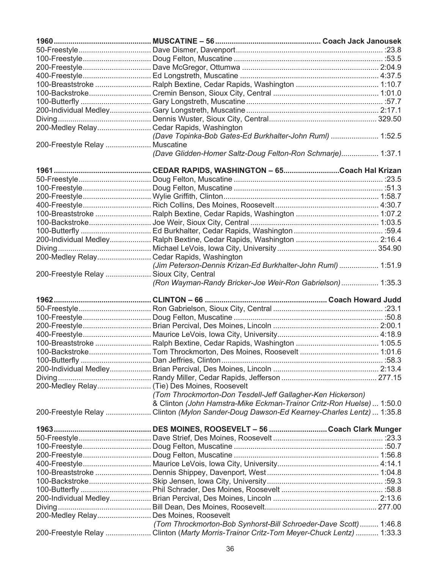| 200-Medley Relay Cedar Rapids, Washington |                                                                                                                                              |  |
|-------------------------------------------|----------------------------------------------------------------------------------------------------------------------------------------------|--|
|                                           | (Dave Topinka-Bob Gates-Ed Burkhalter-John Ruml)  1:52.5                                                                                     |  |
| 200-Freestyle Relay  Muscatine            |                                                                                                                                              |  |
|                                           | (Dave Glidden-Homer Saltz-Doug Felton-Ron Schmarje) 1:37.1                                                                                   |  |
|                                           |                                                                                                                                              |  |
|                                           |                                                                                                                                              |  |
|                                           |                                                                                                                                              |  |
|                                           |                                                                                                                                              |  |
|                                           |                                                                                                                                              |  |
|                                           |                                                                                                                                              |  |
|                                           |                                                                                                                                              |  |
|                                           |                                                                                                                                              |  |
|                                           |                                                                                                                                              |  |
|                                           |                                                                                                                                              |  |
|                                           |                                                                                                                                              |  |
|                                           |                                                                                                                                              |  |
| 200-Medley Relay Cedar Rapids, Washington |                                                                                                                                              |  |
|                                           | (Jim Peterson-Dennis Krizan-Ed Burkhalter-John Ruml)  1:51.9                                                                                 |  |
| 200-Freestyle Relay  Sioux City, Central  |                                                                                                                                              |  |
|                                           | (Ron Wayman-Randy Bricker-Joe Weir-Ron Gabrielson) 1:35.3                                                                                    |  |
|                                           |                                                                                                                                              |  |
|                                           |                                                                                                                                              |  |
|                                           |                                                                                                                                              |  |
|                                           |                                                                                                                                              |  |
|                                           |                                                                                                                                              |  |
|                                           |                                                                                                                                              |  |
|                                           |                                                                                                                                              |  |
|                                           |                                                                                                                                              |  |
|                                           |                                                                                                                                              |  |
|                                           |                                                                                                                                              |  |
|                                           |                                                                                                                                              |  |
|                                           |                                                                                                                                              |  |
|                                           | (Tom Throckmorton-Don Tesdell-Jeff Gallagher-Ken Hickerson)                                                                                  |  |
|                                           |                                                                                                                                              |  |
| 200-Freestyle Relay                       | & Clinton (John Hamstra-Mike Eckman-Trainor Critz-Ron Huelse)  1:50.0<br>Clinton (Mylon Sander-Doug Dawson-Ed Kearney-Charles Lentz)  1:35.8 |  |
|                                           |                                                                                                                                              |  |
|                                           |                                                                                                                                              |  |
|                                           |                                                                                                                                              |  |
|                                           |                                                                                                                                              |  |
|                                           |                                                                                                                                              |  |
|                                           |                                                                                                                                              |  |
|                                           |                                                                                                                                              |  |
|                                           |                                                                                                                                              |  |
|                                           |                                                                                                                                              |  |
|                                           |                                                                                                                                              |  |
|                                           |                                                                                                                                              |  |
| 200-Medley Relay Des Moines, Roosevelt    |                                                                                                                                              |  |
|                                           | (Tom Throckmorton-Bob Synhorst-Bill Schroeder-Dave Scott) 1:46.8                                                                             |  |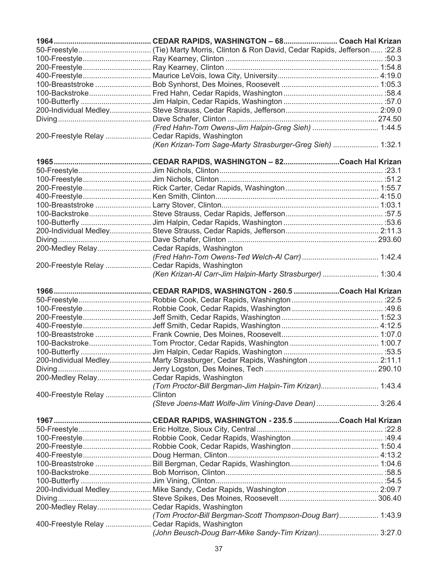|                                               | (Fred Hahn-Tom Owens-Jim Halpin-Greg Sieh)  1:44.5                       |  |
|-----------------------------------------------|--------------------------------------------------------------------------|--|
| 200-Freestyle Relay  Cedar Rapids, Washington |                                                                          |  |
|                                               | (Ken Krizan-Tom Sage-Marty Strasburger-Greg Sieh)  1:32.1                |  |
|                                               |                                                                          |  |
|                                               |                                                                          |  |
|                                               |                                                                          |  |
|                                               |                                                                          |  |
|                                               |                                                                          |  |
|                                               |                                                                          |  |
|                                               |                                                                          |  |
|                                               |                                                                          |  |
|                                               |                                                                          |  |
|                                               |                                                                          |  |
|                                               |                                                                          |  |
| 200-Medley Relay Cedar Rapids, Washington     |                                                                          |  |
|                                               |                                                                          |  |
| 200-Freestyle Relay  Cedar Rapids, Washington |                                                                          |  |
|                                               | (Ken Krizan-Al Carr-Jim Halpin-Marty Strasburger)  1:30.4                |  |
|                                               |                                                                          |  |
|                                               |                                                                          |  |
|                                               |                                                                          |  |
|                                               |                                                                          |  |
|                                               |                                                                          |  |
|                                               |                                                                          |  |
|                                               |                                                                          |  |
|                                               |                                                                          |  |
|                                               |                                                                          |  |
|                                               |                                                                          |  |
|                                               | 200-Individual Medley Marty Strasburger, Cedar Rapids, Washington 2:11.1 |  |
|                                               |                                                                          |  |
| 200-Medley Relay Cedar Rapids, Washington     |                                                                          |  |
|                                               | (Tom Proctor-Bill Bergman-Jim Halpin-Tim Krizan) 1:43.4                  |  |
| 400-Freestyle Relay  Clinton                  | (Steve Joens-Matt Wolfe-Jim Vining-Dave Dean)  3:26.4                    |  |
|                                               |                                                                          |  |
|                                               |                                                                          |  |
|                                               |                                                                          |  |
|                                               |                                                                          |  |
|                                               |                                                                          |  |
|                                               |                                                                          |  |
|                                               |                                                                          |  |
|                                               |                                                                          |  |
|                                               |                                                                          |  |
|                                               |                                                                          |  |
|                                               |                                                                          |  |
| 200-Medley Relay Cedar Rapids, Washington     |                                                                          |  |
|                                               | (Tom Proctor-Bill Bergman-Scott Thompson-Doug Barr) 1:43.9               |  |
| 400-Freestyle Relay  Cedar Rapids, Washington | (John Beusch-Doug Barr-Mike Sandy-Tim Krizan) 3:27.0                     |  |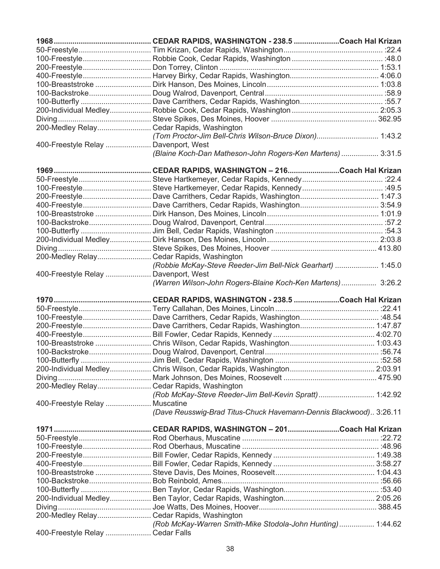| 200-Medley Relay Cedar Rapids, Washington |                                                                    |  |
|-------------------------------------------|--------------------------------------------------------------------|--|
|                                           | (Tom Proctor-Jim Bell-Chris Wilson-Bruce Dixon) 1:43.2             |  |
| 400-Freestyle Relay  Davenport, West      |                                                                    |  |
|                                           |                                                                    |  |
|                                           | (Blaine Koch-Dan Matheson-John Rogers-Ken Martens)  3:31.5         |  |
|                                           |                                                                    |  |
|                                           |                                                                    |  |
|                                           |                                                                    |  |
|                                           |                                                                    |  |
|                                           |                                                                    |  |
|                                           |                                                                    |  |
|                                           |                                                                    |  |
|                                           |                                                                    |  |
|                                           |                                                                    |  |
|                                           |                                                                    |  |
| 200-Medley Relay Cedar Rapids, Washington |                                                                    |  |
|                                           | (Robbie McKay-Steve Reeder-Jim Bell-Nick Gearhart)  1:45.0         |  |
|                                           |                                                                    |  |
| 400-Freestyle Relay                       | Davenport, West                                                    |  |
|                                           | (Warren Wilson-John Rogers-Blaine Koch-Ken Martens) 3:26.2         |  |
|                                           |                                                                    |  |
|                                           |                                                                    |  |
|                                           |                                                                    |  |
|                                           |                                                                    |  |
|                                           |                                                                    |  |
|                                           |                                                                    |  |
|                                           |                                                                    |  |
|                                           |                                                                    |  |
|                                           |                                                                    |  |
|                                           |                                                                    |  |
|                                           |                                                                    |  |
|                                           |                                                                    |  |
| 200-Medley Relay Cedar Rapids, Washington |                                                                    |  |
|                                           | (Rob McKay-Steve Reeder-Jim Bell-Kevin Spratt) 1:42.92             |  |
| 400-Freestyle Relay  Muscatine            |                                                                    |  |
|                                           | (Dave Reusswig-Brad Titus-Chuck Havemann-Dennis Blackwood) 3:26.11 |  |
|                                           |                                                                    |  |
|                                           |                                                                    |  |
|                                           |                                                                    |  |
|                                           |                                                                    |  |
|                                           |                                                                    |  |
|                                           |                                                                    |  |
|                                           |                                                                    |  |
|                                           |                                                                    |  |
|                                           |                                                                    |  |
|                                           |                                                                    |  |
|                                           |                                                                    |  |
| 200-Medley Relay Cedar Rapids, Washington |                                                                    |  |
| 400-Freestyle Relay  Cedar Falls          | (Rob McKay-Warren Smith-Mike Stodola-John Hunting) 1:44.62         |  |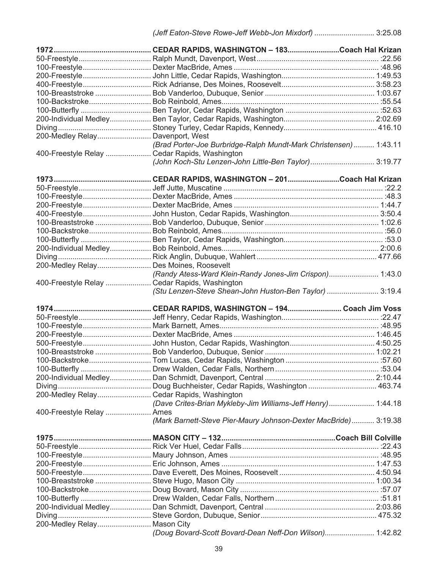| 200-Medley Relay Davenport, West              |                                                                   |  |
|-----------------------------------------------|-------------------------------------------------------------------|--|
|                                               | (Brad Porter-Joe Burbridge-Ralph Mundt-Mark Christensen)  1:43.11 |  |
| 400-Freestyle Relay  Cedar Rapids, Washington |                                                                   |  |
|                                               | (John Koch-Stu Lenzen-John Little-Ben Taylor) 3:19.77             |  |
|                                               |                                                                   |  |
|                                               |                                                                   |  |
|                                               |                                                                   |  |
|                                               |                                                                   |  |
|                                               |                                                                   |  |
|                                               |                                                                   |  |
|                                               |                                                                   |  |
|                                               |                                                                   |  |
|                                               |                                                                   |  |
|                                               |                                                                   |  |
|                                               |                                                                   |  |
| 200-Medley Relay Des Moines, Roosevelt        |                                                                   |  |
|                                               | (Randy Atess-Ward Klein-Randy Jones-Jim Crispon) 1:43.0           |  |
| 400-Freestyle Relay  Cedar Rapids, Washington |                                                                   |  |
|                                               | (Stu Lenzen-Steve Shean-John Huston-Ben Taylor)  3:19.4           |  |
|                                               |                                                                   |  |
|                                               |                                                                   |  |
|                                               |                                                                   |  |
|                                               |                                                                   |  |
|                                               |                                                                   |  |
|                                               |                                                                   |  |
|                                               |                                                                   |  |
|                                               |                                                                   |  |
|                                               |                                                                   |  |
|                                               |                                                                   |  |
|                                               |                                                                   |  |
| 200-Medley Relay Cedar Rapids, Washington     |                                                                   |  |
|                                               | (Dave Crites-Brian Mykleby-Jim Williams-Jeff Henry) 1:44.18       |  |
| 400-Freestyle Relay  Ames                     |                                                                   |  |
|                                               | (Mark Barnett-Steve Pier-Maury Johnson-Dexter MacBride) 3:19.38   |  |
|                                               |                                                                   |  |
|                                               |                                                                   |  |
|                                               |                                                                   |  |
|                                               |                                                                   |  |
|                                               |                                                                   |  |
|                                               |                                                                   |  |
|                                               |                                                                   |  |
|                                               |                                                                   |  |
|                                               |                                                                   |  |
|                                               |                                                                   |  |
|                                               |                                                                   |  |
| 200-Medley Relay Mason City                   |                                                                   |  |
|                                               | (Doug Bovard-Scott Bovard-Dean Neff-Don Wilson) 1:42.82           |  |
|                                               |                                                                   |  |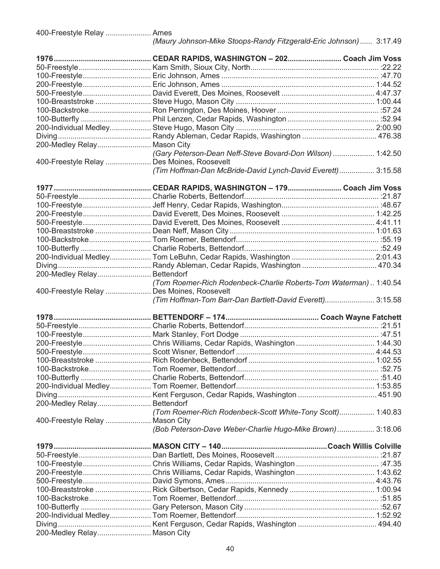| 200-Individual Medley           |                                                                  |  |
|---------------------------------|------------------------------------------------------------------|--|
|                                 |                                                                  |  |
|                                 |                                                                  |  |
| 200-Medley Relay                | <b>Mason City</b>                                                |  |
|                                 | (Gary Peterson-Dean Neff-Steve Bovard-Don Wilson)  1:42.50       |  |
| 400-Freestyle Relay             | Des Moines, Roosevelt                                            |  |
|                                 | (Tim Hoffman-Dan McBride-David Lynch-David Everett) 3:15.58      |  |
|                                 |                                                                  |  |
|                                 |                                                                  |  |
|                                 |                                                                  |  |
|                                 |                                                                  |  |
|                                 |                                                                  |  |
|                                 |                                                                  |  |
|                                 |                                                                  |  |
|                                 |                                                                  |  |
|                                 |                                                                  |  |
|                                 |                                                                  |  |
|                                 | <b>Bettendorf</b>                                                |  |
| 200-Medley Relay                |                                                                  |  |
|                                 | (Tom Roemer-Rich Rodenbeck-Charlie Roberts-Tom Waterman) 1:40.54 |  |
| 400-Freestyle Relay             | Des Moines, Roosevelt                                            |  |
|                                 | (Tim Hoffman-Tom Barr-Dan Bartlett-David Everett) 3:15.58        |  |
|                                 |                                                                  |  |
|                                 |                                                                  |  |
|                                 |                                                                  |  |
|                                 |                                                                  |  |
|                                 |                                                                  |  |
|                                 |                                                                  |  |
|                                 |                                                                  |  |
| 100-Backstroke                  |                                                                  |  |
|                                 |                                                                  |  |
|                                 |                                                                  |  |
|                                 |                                                                  |  |
| 200-Medley Relay Bettendorf     |                                                                  |  |
|                                 | (Tom Roemer-Rich Rodenbeck-Scott White-Tony Scott) 1:40.83       |  |
| 400-Freestyle Relay  Mason City |                                                                  |  |
|                                 | (Bob Peterson-Dave Weber-Charlie Hugo-Mike Brown) 3:18.06        |  |
|                                 |                                                                  |  |
|                                 |                                                                  |  |
|                                 |                                                                  |  |
|                                 |                                                                  |  |
|                                 |                                                                  |  |
|                                 |                                                                  |  |
|                                 |                                                                  |  |
|                                 |                                                                  |  |
|                                 |                                                                  |  |
|                                 |                                                                  |  |
|                                 |                                                                  |  |
| 200-Medley Relay Mason City     |                                                                  |  |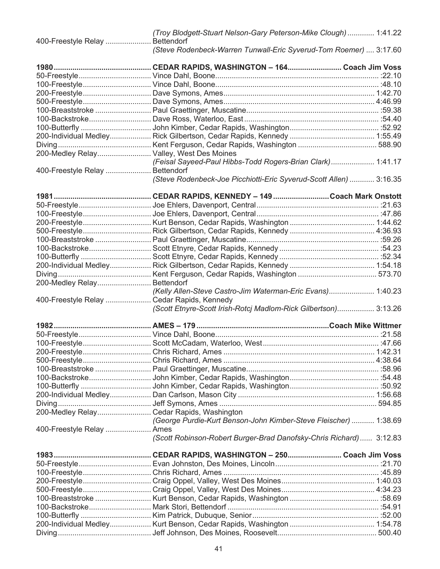| 400-Freestyle Relay                        | (Troy Blodgett-Stuart Nelson-Gary Peterson-Mike Clough)  1:41.22<br>Bettendorf |  |
|--------------------------------------------|--------------------------------------------------------------------------------|--|
|                                            | (Steve Rodenbeck-Warren Tunwall-Eric Syverud-Tom Roemer)  3:17.60              |  |
|                                            |                                                                                |  |
|                                            |                                                                                |  |
|                                            |                                                                                |  |
|                                            |                                                                                |  |
|                                            |                                                                                |  |
|                                            |                                                                                |  |
|                                            |                                                                                |  |
|                                            |                                                                                |  |
|                                            |                                                                                |  |
|                                            |                                                                                |  |
|                                            |                                                                                |  |
| 200-Medley Relay Valley, West Des Moines   |                                                                                |  |
|                                            | (Feisal Sayeed-Paul Hibbs-Todd Rogers-Brian Clark) 1:41.17                     |  |
| 400-Freestyle Relay  Bettendorf            |                                                                                |  |
|                                            | (Steve Rodenbeck-Joe Picchiotti-Eric Syverud-Scott Allen)  3:16.35             |  |
|                                            |                                                                                |  |
|                                            |                                                                                |  |
|                                            |                                                                                |  |
|                                            |                                                                                |  |
|                                            |                                                                                |  |
|                                            |                                                                                |  |
|                                            |                                                                                |  |
|                                            |                                                                                |  |
|                                            |                                                                                |  |
|                                            |                                                                                |  |
| 200-Medley Relay                           | Bettendorf                                                                     |  |
|                                            | (Kelly Allen-Steve Castro-Jim Waterman-Eric Evans) 1:40.23                     |  |
| 400-Freestyle Relay  Cedar Rapids, Kennedy |                                                                                |  |
|                                            | (Scott Etnyre-Scott Irish-Rotcj Madlom-Rick Gilbertson) 3:13.26                |  |
|                                            |                                                                                |  |
|                                            |                                                                                |  |
|                                            |                                                                                |  |
|                                            |                                                                                |  |
|                                            |                                                                                |  |
|                                            |                                                                                |  |
|                                            |                                                                                |  |
|                                            |                                                                                |  |
|                                            |                                                                                |  |
|                                            |                                                                                |  |
|                                            |                                                                                |  |
| 200-Medley Relay Cedar Rapids, Washington  |                                                                                |  |
|                                            | (George Purdie-Kurt Benson-John Kimber-Steve Fleischer)  1:38.69               |  |
| 400-Freestyle Relay  Ames                  |                                                                                |  |
|                                            | (Scott Robinson-Robert Burger-Brad Danofsky-Chris Richard)  3:12.83            |  |
|                                            |                                                                                |  |
|                                            |                                                                                |  |
|                                            |                                                                                |  |
|                                            |                                                                                |  |
|                                            |                                                                                |  |
|                                            |                                                                                |  |
|                                            |                                                                                |  |
|                                            |                                                                                |  |
|                                            |                                                                                |  |
|                                            |                                                                                |  |
|                                            |                                                                                |  |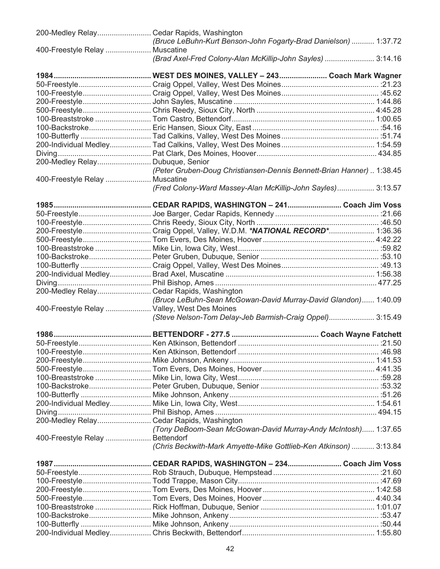| 200-Medley Relay Cedar Rapids, Washington    | (Bruce LeBuhn-Kurt Benson-John Fogarty-Brad Danielson)  1:37.72      |  |
|----------------------------------------------|----------------------------------------------------------------------|--|
| 400-Freestyle Relay  Muscatine               | (Brad Axel-Fred Colony-Alan McKillip-John Sayles)  3:14.16           |  |
|                                              |                                                                      |  |
|                                              |                                                                      |  |
|                                              |                                                                      |  |
|                                              |                                                                      |  |
|                                              |                                                                      |  |
|                                              |                                                                      |  |
|                                              |                                                                      |  |
|                                              |                                                                      |  |
|                                              |                                                                      |  |
|                                              |                                                                      |  |
|                                              |                                                                      |  |
| 200-Medley Relay Dubuque, Senior             |                                                                      |  |
|                                              | (Peter Gruben-Doug Christiansen-Dennis Bennett-Brian Hanner) 1:38.45 |  |
| 400-Freestyle Relay  Muscatine               |                                                                      |  |
|                                              | (Fred Colony-Ward Massey-Alan McKillip-John Sayles) 3:13.57          |  |
|                                              |                                                                      |  |
|                                              |                                                                      |  |
|                                              |                                                                      |  |
|                                              | 200-Freestyle Craig Oppel, Valley, W.D.M. *NATIONAL RECORD* 1:36.36  |  |
|                                              |                                                                      |  |
|                                              |                                                                      |  |
|                                              |                                                                      |  |
|                                              |                                                                      |  |
|                                              |                                                                      |  |
|                                              |                                                                      |  |
|                                              |                                                                      |  |
| 200-Medley Relay Cedar Rapids, Washington    |                                                                      |  |
|                                              | (Bruce LeBuhn-Sean McGowan-David Murray-David Glandon) 1:40.09       |  |
| 400-Freestyle Relay  Valley, West Des Moines |                                                                      |  |
|                                              | (Steve Nelson-Tom Delay-Jeb Barmish-Craig Oppel) 3:15.49             |  |
|                                              |                                                                      |  |
|                                              |                                                                      |  |
|                                              |                                                                      |  |
|                                              |                                                                      |  |
|                                              |                                                                      |  |
|                                              |                                                                      |  |
|                                              |                                                                      |  |
|                                              |                                                                      |  |
|                                              |                                                                      |  |
|                                              |                                                                      |  |
|                                              |                                                                      |  |
| 200-Medley Relay Cedar Rapids, Washington    |                                                                      |  |
|                                              | (Tony DeBoom-Sean McGowan-David Murray-Andy McIntosh) 1:37.65        |  |
| 400-Freestyle Relay  Bettendorf              |                                                                      |  |
|                                              | (Chris Beckwith-Mark Amyette-Mike Gottlieb-Ken Atkinson)  3:13.84    |  |
|                                              |                                                                      |  |
|                                              |                                                                      |  |
|                                              |                                                                      |  |
|                                              |                                                                      |  |
|                                              |                                                                      |  |
|                                              |                                                                      |  |
|                                              |                                                                      |  |
|                                              |                                                                      |  |
|                                              |                                                                      |  |
|                                              |                                                                      |  |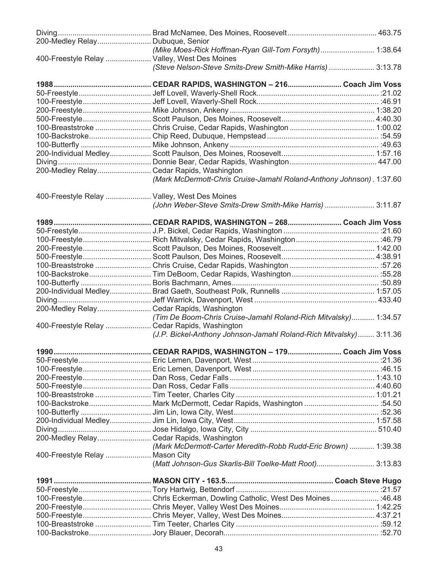| 200-Medley Relay                | Dubuque, Senior                                                      |  |
|---------------------------------|----------------------------------------------------------------------|--|
|                                 | (Mike Moes-Rick Hoffman-Ryan Gill-Tom Forsyth) 1:38.64               |  |
|                                 | 400-Freestyle Relay  Valley, West Des Moines                         |  |
|                                 | (Steve Nelson-Steve Smits-Drew Smith-Mike Harris)  3:13.78           |  |
|                                 |                                                                      |  |
|                                 |                                                                      |  |
|                                 |                                                                      |  |
|                                 |                                                                      |  |
| 200-Freestyle                   |                                                                      |  |
| 500-Freestyle                   |                                                                      |  |
| 100-Breaststroke                |                                                                      |  |
| 100-Backstroke                  |                                                                      |  |
|                                 |                                                                      |  |
|                                 |                                                                      |  |
| 200-Individual Medley           |                                                                      |  |
|                                 |                                                                      |  |
| 200-Medley Relay                | Cedar Rapids, Washington                                             |  |
|                                 | (Mark McDermott-Chris Cruise-Jamahl Roland-Anthony Johnson). 1:37.60 |  |
|                                 | 400-Freestyle Relay  Valley, West Des Moines                         |  |
|                                 | (John Weber-Steve Smits-Drew Smith-Mike Harris)  3:11.87             |  |
|                                 |                                                                      |  |
|                                 |                                                                      |  |
|                                 |                                                                      |  |
|                                 |                                                                      |  |
|                                 |                                                                      |  |
| 500-Freestyle                   |                                                                      |  |
| 100-Breaststroke                |                                                                      |  |
| 100-Backstroke                  |                                                                      |  |
| 100-Butterfly                   |                                                                      |  |
| 200-Individual Medley           |                                                                      |  |
|                                 |                                                                      |  |
| 200-Medley Relay                | Cedar Rapids, Washington                                             |  |
|                                 | (Tim De Boom-Chris Cruise-Jamahl Roland-Rich Mitvalsky) 1:34.57      |  |
| 400-Freestyle Relay             | Cedar Rapids, Washington                                             |  |
|                                 | (J.P. Bickel-Anthony Johnson-Jamahl Roland-Rich Mitvalsky) 3:11.36   |  |
|                                 |                                                                      |  |
|                                 |                                                                      |  |
|                                 |                                                                      |  |
|                                 |                                                                      |  |
|                                 |                                                                      |  |
|                                 |                                                                      |  |
|                                 |                                                                      |  |
|                                 |                                                                      |  |
|                                 |                                                                      |  |
|                                 |                                                                      |  |
|                                 |                                                                      |  |
|                                 | 200-Medley Relay Cedar Rapids, Washington                            |  |
|                                 | (Mark McDermott-Carter Meredith-Robb Rudd-Eric Brown)  1:39.38       |  |
| 400-Freestyle Relay  Mason City |                                                                      |  |
|                                 | (Matt Johnson-Gus Skarlis-Bill Toelke-Matt Root) 3:13.83             |  |
|                                 |                                                                      |  |
|                                 |                                                                      |  |
|                                 |                                                                      |  |
|                                 |                                                                      |  |
|                                 |                                                                      |  |
|                                 |                                                                      |  |
|                                 |                                                                      |  |
|                                 | .52.70/https://www.morror.com/music/community-Backstroke.com/inter-  |  |
|                                 |                                                                      |  |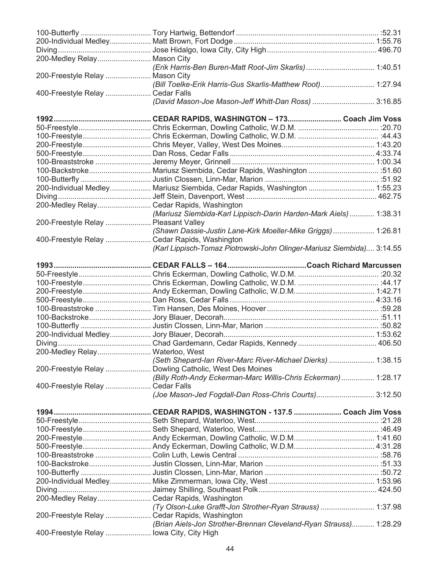| 200-Medley Relay Mason City                   |                                                                           |  |
|-----------------------------------------------|---------------------------------------------------------------------------|--|
|                                               |                                                                           |  |
| 200-Freestyle Relay  Mason City               |                                                                           |  |
|                                               | (Bill Toelke-Erik Harris-Gus Skarlis-Matthew Root) 1:27.94                |  |
| 400-Freestyle Relay  Cedar Falls              |                                                                           |  |
|                                               | (David Mason-Joe Mason-Jeff Whitt-Dan Ross)  3:16.85                      |  |
|                                               |                                                                           |  |
|                                               |                                                                           |  |
|                                               |                                                                           |  |
|                                               |                                                                           |  |
|                                               |                                                                           |  |
|                                               |                                                                           |  |
|                                               |                                                                           |  |
|                                               | 100-Backstroke Mariusz Siembida, Cedar Rapids, Washington  :51.60         |  |
|                                               |                                                                           |  |
|                                               | 200-Individual Medley Mariusz Siembida, Cedar Rapids, Washington  1:55.23 |  |
|                                               |                                                                           |  |
| 200-Medley Relay Cedar Rapids, Washington     |                                                                           |  |
|                                               | (Mariusz Siembida-Karl Lippisch-Darin Harden-Mark Aiels)  1:38.31         |  |
| 200-Freestyle Relay  Pleasant Valley          |                                                                           |  |
|                                               | (Shawn Dassie-Justin Lane-Kirk Moeller-Mike Griggs) 1:26.81               |  |
| 400-Freestyle Relay  Cedar Rapids, Washington |                                                                           |  |
|                                               | (Karl Lippisch-Tomaz Piotrowski-John Olinger-Mariusz Siembida) 3:14.55    |  |
|                                               |                                                                           |  |
|                                               |                                                                           |  |
|                                               |                                                                           |  |
|                                               |                                                                           |  |
|                                               |                                                                           |  |
|                                               |                                                                           |  |
|                                               |                                                                           |  |
|                                               |                                                                           |  |
|                                               |                                                                           |  |
|                                               |                                                                           |  |
|                                               |                                                                           |  |
| 200-Medley Relay Waterloo, West               |                                                                           |  |
|                                               | (Seth Shepard-lan River-Marc River-Michael Dierks)  1:38.15               |  |
|                                               | 200-Freestyle Relay  Dowling Catholic, West Des Moines                    |  |
|                                               |                                                                           |  |
|                                               | (Billy Roth-Andy Eckerman-Marc Willis-Chris Eckerman) 1:28.17             |  |
| 400-Freestyle Relay  Cedar Falls              |                                                                           |  |
|                                               | (Joe Mason-Jed Fogdall-Dan Ross-Chris Courts) 3:12.50                     |  |
|                                               |                                                                           |  |
|                                               |                                                                           |  |
|                                               |                                                                           |  |
|                                               |                                                                           |  |
|                                               |                                                                           |  |
|                                               |                                                                           |  |
|                                               |                                                                           |  |
|                                               |                                                                           |  |
|                                               |                                                                           |  |
|                                               |                                                                           |  |
|                                               |                                                                           |  |
| 200-Medley Relay Cedar Rapids, Washington     |                                                                           |  |
|                                               | (Ty Olson-Luke Grafft-Jon Strother-Ryan Strauss)  1:37.98                 |  |
| 200-Freestyle Relay  Cedar Rapids, Washington |                                                                           |  |
|                                               | (Brian Aiels-Jon Strother-Brennan Cleveland-Ryan Strauss) 1:28.29         |  |
| 400-Freestyle Relay  lowa City, City High     |                                                                           |  |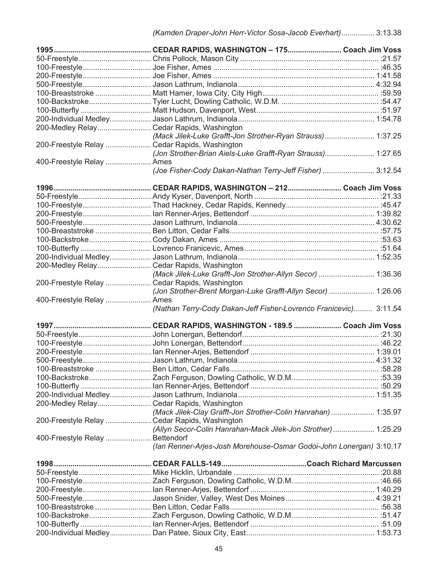| 200-Medley Relay Cedar Rapids, Washington     |                                                                     |  |
|-----------------------------------------------|---------------------------------------------------------------------|--|
|                                               | (Mack Jilek-Luke Grafft-Jon Strother-Ryan Strauss) 1:37.25          |  |
| 200-Freestyle Relay  Cedar Rapids, Washington |                                                                     |  |
|                                               | (Jon Strother-Brian Aiels-Luke Grafft-Ryan Strauss) 1:27.65         |  |
| 400-Freestyle Relay  Ames                     |                                                                     |  |
|                                               | (Joe Fisher-Cody Dakan-Nathan Terry-Jeff Fisher)  3:12.54           |  |
|                                               |                                                                     |  |
|                                               |                                                                     |  |
|                                               |                                                                     |  |
|                                               |                                                                     |  |
|                                               |                                                                     |  |
|                                               |                                                                     |  |
|                                               |                                                                     |  |
|                                               |                                                                     |  |
|                                               |                                                                     |  |
| 200-Medley Relay Cedar Rapids, Washington     |                                                                     |  |
|                                               | (Mack Jilek-Luke Grafft-Jon Strother-Allyn Secor)  1:36.36          |  |
| 200-Freestyle Relay  Cedar Rapids, Washington |                                                                     |  |
|                                               | (Jon Strother-Brent Morgan-Luke Grafft-Allyn Secor)  1:26.06        |  |
| 400-Freestyle Relay  Ames                     |                                                                     |  |
|                                               | (Nathan Terry-Cody Dakan-Jeff Fisher-Lovrenco Franicevic) 3:11.54   |  |
|                                               |                                                                     |  |
|                                               |                                                                     |  |
|                                               |                                                                     |  |
|                                               |                                                                     |  |
|                                               |                                                                     |  |
|                                               |                                                                     |  |
|                                               |                                                                     |  |
|                                               |                                                                     |  |
|                                               |                                                                     |  |
| 200-Medley Relay Cedar Rapids, Washington     |                                                                     |  |
|                                               | (Mack Jilek-Clay Grafft-Jon Strother-Colin Hanrahan)  1:35.97       |  |
|                                               |                                                                     |  |
| 200-Freestyle Relay  Cedar Rapids, Washington |                                                                     |  |
|                                               | (Allyn Secor-Colin Hanrahan-Mack Jilek-Jon Strother)  1:25.29       |  |
| 400-Freestyle Relay  Bettendorf               | (Ian Renner-Arjes-Josh Morehouse-Osmar Godoi-John Lonergan) 3:10.17 |  |
|                                               |                                                                     |  |
|                                               |                                                                     |  |
|                                               |                                                                     |  |
|                                               |                                                                     |  |
|                                               |                                                                     |  |
|                                               |                                                                     |  |
|                                               |                                                                     |  |
|                                               |                                                                     |  |
|                                               |                                                                     |  |
|                                               |                                                                     |  |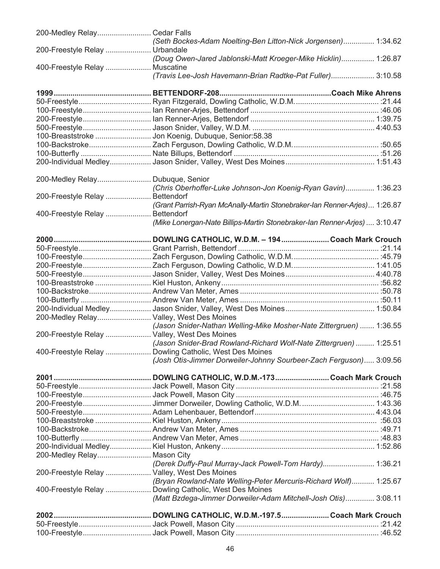| 200-Medley Relay Cedar Falls                 |                                                                                                                              |
|----------------------------------------------|------------------------------------------------------------------------------------------------------------------------------|
|                                              | (Seth Bockes-Adam Noelting-Ben Litton-Nick Jorgensen) 1:34.62                                                                |
| 200-Freestyle Relay  Urbandale               |                                                                                                                              |
|                                              | (Doug Owen-Jared Jablonski-Matt Kroeger-Mike Hicklin) 1:26.87                                                                |
| 400-Freestyle Relay                          | Muscatine                                                                                                                    |
|                                              | (Travis Lee-Josh Havemann-Brian Radtke-Pat Fuller) 3:10.58                                                                   |
|                                              | 1999…………………………………………… BETTENDORF-208………………………………………………Coach Mike Ahrens                                                      |
|                                              |                                                                                                                              |
|                                              |                                                                                                                              |
|                                              |                                                                                                                              |
|                                              |                                                                                                                              |
|                                              |                                                                                                                              |
| 100-Breaststroke                             | Jon Koenig, Dubuque, Senior:58.38                                                                                            |
| 100-Backstroke                               |                                                                                                                              |
|                                              |                                                                                                                              |
| 200-Individual Medley                        |                                                                                                                              |
| 200-Medley Relay Dubuque, Senior             |                                                                                                                              |
|                                              | (Chris Oberhoffer-Luke Johnson-Jon Koenig-Ryan Gavin) 1:36.23                                                                |
| 200-Freestyle Relay  Bettendorf              |                                                                                                                              |
|                                              | (Grant Parrish-Ryan McAnally-Martin Stonebraker-Ian Renner-Arjes) 1:26.87                                                    |
| 400-Freestyle Relay                          | Bettendorf                                                                                                                   |
|                                              | (Mike Lonergan-Nate Billips-Martin Stonebraker-Ian Renner-Arjes)  3:10.47                                                    |
|                                              |                                                                                                                              |
|                                              |                                                                                                                              |
|                                              |                                                                                                                              |
|                                              |                                                                                                                              |
|                                              |                                                                                                                              |
|                                              |                                                                                                                              |
|                                              |                                                                                                                              |
|                                              |                                                                                                                              |
|                                              |                                                                                                                              |
| 200-Individual Medley                        |                                                                                                                              |
| 200-Medley Relay Valley, West Des Moines     |                                                                                                                              |
|                                              | (Jason Snider-Nathan Welling-Mike Mosher-Nate Zittergruen)  1:36.55                                                          |
| 200-Freestyle Relay  Valley, West Des Moines |                                                                                                                              |
|                                              | (Jason Snider-Brad Rowland-Richard Wolf-Nate Zittergruen)  1:25.51                                                           |
|                                              | 400-Freestyle Relay  Dowling Catholic, West Des Moines<br>(Josh Otis-Jimmer Dorweiler-Johnny Sourbeer-Zach Ferguson) 3:09.56 |
|                                              |                                                                                                                              |
|                                              |                                                                                                                              |
|                                              |                                                                                                                              |
|                                              |                                                                                                                              |
|                                              |                                                                                                                              |
|                                              |                                                                                                                              |
|                                              |                                                                                                                              |
|                                              |                                                                                                                              |
|                                              |                                                                                                                              |
|                                              |                                                                                                                              |
| 200-Medley Relay Mason City                  |                                                                                                                              |
|                                              | (Derek Duffy-Paul Murray-Jack Powell-Tom Hardy) 1:36.21                                                                      |
| 200-Freestyle Relay  Valley, West Des Moines |                                                                                                                              |
|                                              | (Bryan Rowland-Nate Welling-Peter Mercuris-Richard Wolf) 1:25.67                                                             |
|                                              | 400-Freestyle Relay  Dowling Catholic, West Des Moines                                                                       |
|                                              | (Matt Bzdega-Jimmer Dorweiler-Adam Mitchell-Josh Otis) 3:08.11                                                               |
|                                              |                                                                                                                              |
|                                              |                                                                                                                              |
|                                              |                                                                                                                              |
|                                              |                                                                                                                              |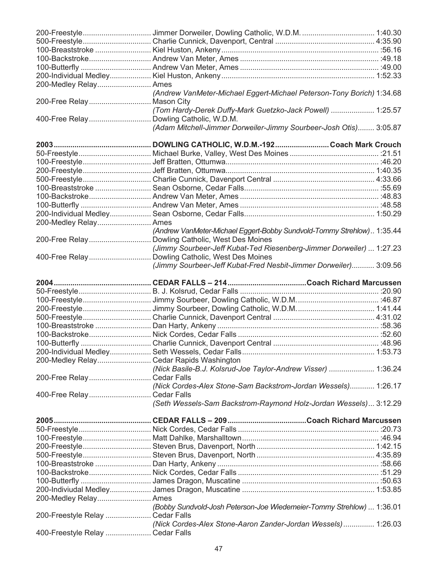| 200-Medley Relay Ames                    |                                                                        |  |
|------------------------------------------|------------------------------------------------------------------------|--|
|                                          | (Andrew VanMeter-Michael Eggert-Michael Peterson-Tony Borich) 1:34.68  |  |
| 200-Free Relay Mason City                |                                                                        |  |
|                                          | (Tom Hardy-Derek Duffy-Mark Guetzko-Jack Powell)  1:25.57              |  |
| 400-Free Relay                           | Dowling Catholic, W.D.M.                                               |  |
|                                          | (Adam Mitchell-Jimmer Dorweiler-Jimmy Sourbeer-Josh Otis) 3:05.87      |  |
|                                          |                                                                        |  |
|                                          |                                                                        |  |
|                                          |                                                                        |  |
|                                          |                                                                        |  |
|                                          |                                                                        |  |
|                                          |                                                                        |  |
|                                          |                                                                        |  |
|                                          |                                                                        |  |
|                                          |                                                                        |  |
|                                          |                                                                        |  |
| 200-Medley Relay Ames                    |                                                                        |  |
|                                          | (Andrew VanMeter-Michael Eggert-Bobby Sundvold-Tommy Strehlow) 1:35.44 |  |
| 200-Free Relay                           | Dowling Catholic, West Des Moines                                      |  |
|                                          | (Jimmy Sourbeer-Jeff Kubat-Ted Riesenberg-Jimmer Dorweiler)  1:27.23   |  |
| 400-Free Relay                           | Dowling Catholic, West Des Moines                                      |  |
|                                          | (Jimmy Sourbeer-Jeff Kubat-Fred Nesbit-Jimmer Dorweiler) 3:09.56       |  |
|                                          |                                                                        |  |
|                                          |                                                                        |  |
|                                          |                                                                        |  |
|                                          |                                                                        |  |
|                                          |                                                                        |  |
|                                          |                                                                        |  |
|                                          |                                                                        |  |
|                                          |                                                                        |  |
|                                          |                                                                        |  |
|                                          |                                                                        |  |
| 200-Medley Relay Cedar Rapids Washington |                                                                        |  |
|                                          |                                                                        |  |
| 200-Free Relay Cedar Falls               | (Nick Basile-B.J. Kolsrud-Joe Taylor-Andrew Visser)  1:36.24           |  |
|                                          |                                                                        |  |
|                                          | (Nick Cordes-Alex Stone-Sam Backstrom-Jordan Wessels) 1:26.17          |  |
| 400-Free Relay Cedar Falls               |                                                                        |  |
|                                          | (Seth Wessels-Sam Backstrom-Raymond Holz-Jordan Wessels) 3:12.29       |  |
|                                          |                                                                        |  |
|                                          |                                                                        |  |
|                                          |                                                                        |  |
|                                          |                                                                        |  |
|                                          |                                                                        |  |
|                                          |                                                                        |  |
|                                          |                                                                        |  |
|                                          |                                                                        |  |
|                                          |                                                                        |  |
|                                          |                                                                        |  |
| 200-Medley Relay Ames                    |                                                                        |  |
|                                          |                                                                        |  |
|                                          | (Bobby Sundvold-Josh Peterson-Joe Wiedemeier-Tommy Strehlow)  1:36.01  |  |
| 200-Freestyle Relay  Cedar Falls         |                                                                        |  |
| 400-Freestyle Relay  Cedar Falls         | (Nick Cordes-Alex Stone-Aaron Zander-Jordan Wessels) 1:26.03           |  |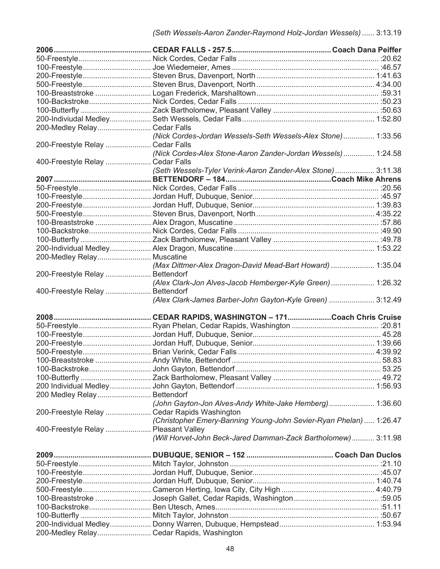| 200-Medley Relay Cedar Falls                 |                                                                    |  |
|----------------------------------------------|--------------------------------------------------------------------|--|
|                                              | (Nick Cordes-Jordan Wessels-Seth Wessels-Alex Stone) 1:33.56       |  |
| 200-Freestyle Relay  Cedar Falls             |                                                                    |  |
|                                              | (Nick Cordes-Alex Stone-Aaron Zander-Jordan Wessels) 1:24.58       |  |
| 400-Freestyle Relay  Cedar Falls             |                                                                    |  |
|                                              | (Seth Wessels-Tyler Verink-Aaron Zander-Alex Stone) 3:11.38        |  |
|                                              |                                                                    |  |
|                                              |                                                                    |  |
|                                              |                                                                    |  |
|                                              |                                                                    |  |
|                                              |                                                                    |  |
|                                              |                                                                    |  |
|                                              |                                                                    |  |
|                                              |                                                                    |  |
|                                              |                                                                    |  |
|                                              |                                                                    |  |
| 200-Medley Relay Muscatine                   |                                                                    |  |
|                                              | (Max Dittmer-Alex Dragon-David Mead-Bart Howard)  1:35.04          |  |
| 200-Freestyle Relay  Bettendorf              |                                                                    |  |
|                                              | (Alex Clark-Jon Alves-Jacob Hemberger-Kyle Green)  1:26.32         |  |
| 400-Freestyle Relay  Bettendorf              |                                                                    |  |
|                                              | (Alex Clark-James Barber-John Gayton-Kyle Green)  3:12.49          |  |
|                                              |                                                                    |  |
|                                              |                                                                    |  |
|                                              |                                                                    |  |
|                                              |                                                                    |  |
|                                              |                                                                    |  |
|                                              |                                                                    |  |
|                                              |                                                                    |  |
|                                              |                                                                    |  |
|                                              |                                                                    |  |
|                                              |                                                                    |  |
| 200 Medley Relay Bettendorf                  |                                                                    |  |
|                                              | (John Gayton-Jon Alves-Andy White-Jake Hemberg) 1:36.60            |  |
| 200-Freestyle Relay  Cedar Rapids Washington |                                                                    |  |
|                                              | (Christopher Emery-Banning Young-John Sevier-Ryan Phelan)  1:26.47 |  |
| 400-Freestyle Relay  Pleasant Valley         |                                                                    |  |
|                                              | (Will Horvet-John Beck-Jared Damman-Zack Bartholomew) 3:11.98      |  |
|                                              |                                                                    |  |
|                                              |                                                                    |  |
|                                              |                                                                    |  |
|                                              |                                                                    |  |
|                                              |                                                                    |  |
|                                              |                                                                    |  |
|                                              |                                                                    |  |
|                                              |                                                                    |  |
|                                              |                                                                    |  |
|                                              |                                                                    |  |
| 200-Medley Relay Cedar Rapids, Washington    |                                                                    |  |
|                                              |                                                                    |  |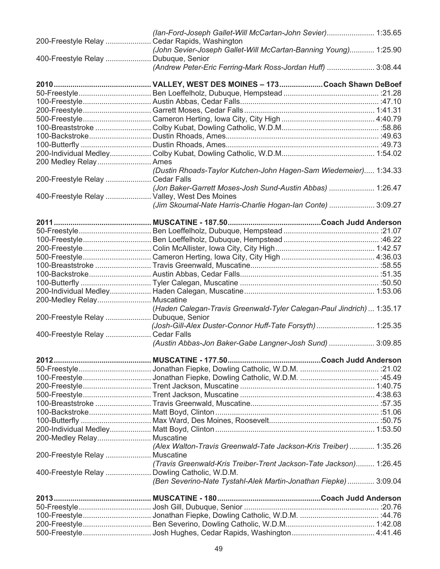|                                      | (Ian-Ford-Joseph Gallet-Will McCartan-John Sevier) 1:35.65             |  |
|--------------------------------------|------------------------------------------------------------------------|--|
| 200-Freestyle Relay                  | Cedar Rapids, Washington                                               |  |
|                                      | (John Sevier-Joseph Gallet-Will McCartan-Banning Young) 1:25.90        |  |
| 400-Freestyle Relay  Dubuque, Senior |                                                                        |  |
|                                      | (Andrew Peter-Eric Ferring-Mark Ross-Jordan Huff)  3:08.44             |  |
|                                      |                                                                        |  |
|                                      |                                                                        |  |
|                                      |                                                                        |  |
|                                      |                                                                        |  |
|                                      |                                                                        |  |
|                                      |                                                                        |  |
|                                      |                                                                        |  |
|                                      |                                                                        |  |
|                                      |                                                                        |  |
|                                      |                                                                        |  |
| 200 Medley Relay Ames                |                                                                        |  |
|                                      | (Dustin Rhoads-Taylor Kutchen-John Hagen-Sam Wiedemeier) 1:34.33       |  |
| 200-Freestyle Relay  Cedar Falls     |                                                                        |  |
|                                      | (Jon Baker-Garrett Moses-Josh Sund-Austin Abbas)  1:26.47              |  |
|                                      | 400-Freestyle Relay  Valley, West Des Moines                           |  |
|                                      | (Jim Skoumal-Nate Harris-Charlie Hogan-Ian Conte)  3:09.27             |  |
|                                      |                                                                        |  |
|                                      |                                                                        |  |
|                                      |                                                                        |  |
|                                      |                                                                        |  |
|                                      |                                                                        |  |
|                                      |                                                                        |  |
|                                      |                                                                        |  |
|                                      |                                                                        |  |
|                                      |                                                                        |  |
|                                      |                                                                        |  |
| 200-Medley Relay Muscatine           |                                                                        |  |
|                                      | (Haden Calegan-Travis Greenwald-Tyler Calegan-Paul Jindrich)  1:35.17  |  |
| 200-Freestyle Relay  Dubuque, Senior |                                                                        |  |
|                                      | (Josh-Gill-Alex Duster-Connor Huff-Tate Forsyth)  1:25.35              |  |
| 400-Freestyle Relay  Cedar Falls     |                                                                        |  |
|                                      | (Austin Abbas-Jon Baker-Gabe Langner-Josh Sund)  3:09.85               |  |
|                                      |                                                                        |  |
|                                      |                                                                        |  |
|                                      |                                                                        |  |
|                                      |                                                                        |  |
|                                      |                                                                        |  |
|                                      |                                                                        |  |
|                                      |                                                                        |  |
|                                      |                                                                        |  |
|                                      |                                                                        |  |
|                                      |                                                                        |  |
| 200-Medley Relay Muscatine           |                                                                        |  |
|                                      | (Alex Walton-Travis Greenwald-Tate Jackson-Kris Treiber)  1:35.26      |  |
| 200-Freestyle Relay  Muscatine       |                                                                        |  |
|                                      | (Travis Greenwald-Kris Treiber-Trent Jackson-Tate Jackson) 1:26.45     |  |
|                                      | 400-Freestyle Relay  Dowling Catholic, W.D.M.                          |  |
|                                      | (Ben Severino-Nate Tystahl-Alek Martin-Jonathan Fiepke)  3:09.04       |  |
|                                      | 2013………………………………………… MUSCATINE-180……………………………………………Coach Judd Anderson |  |
|                                      |                                                                        |  |
|                                      |                                                                        |  |
|                                      |                                                                        |  |
|                                      |                                                                        |  |
|                                      |                                                                        |  |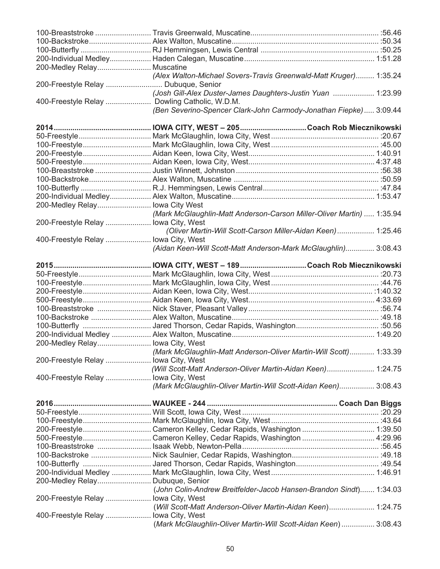| 200-Medley Relay Muscatine                    | (Alex Walton-Michael Sovers-Travis Greenwald-Matt Kruger) 1:35.24     |  |
|-----------------------------------------------|-----------------------------------------------------------------------|--|
| 200-Freestyle Relay  Dubuque, Senior          |                                                                       |  |
|                                               | (Josh Gill-Alex Duster-James Daughters-Justin Yuan  1:23.99           |  |
| 400-Freestyle Relay  Dowling Catholic, W.D.M. |                                                                       |  |
|                                               | (Ben Severino-Spencer Clark-John Carmody-Jonathan Fiepke) 3:09.44     |  |
|                                               |                                                                       |  |
|                                               |                                                                       |  |
|                                               |                                                                       |  |
|                                               |                                                                       |  |
|                                               |                                                                       |  |
|                                               |                                                                       |  |
|                                               |                                                                       |  |
|                                               |                                                                       |  |
|                                               |                                                                       |  |
|                                               |                                                                       |  |
| 200-Medley Relay lowa City West               |                                                                       |  |
|                                               | (Mark McGlaughlin-Matt Anderson-Carson Miller-Oliver Martin)  1:35.94 |  |
| 200-Freestyle Relay  lowa City, West          |                                                                       |  |
|                                               | (Oliver Martin-Will Scott-Carson Miller-Aidan Keen) 1:25.46           |  |
| 400-Freestyle Relay  lowa City, West          |                                                                       |  |
|                                               | (Aidan Keen-Will Scott-Matt Anderson-Mark McGlaughlin) 3:08.43        |  |
|                                               |                                                                       |  |
|                                               |                                                                       |  |
|                                               |                                                                       |  |
|                                               |                                                                       |  |
|                                               |                                                                       |  |
|                                               |                                                                       |  |
|                                               |                                                                       |  |
|                                               |                                                                       |  |
|                                               |                                                                       |  |
| 200-Medley Relay lowa City, West              |                                                                       |  |
|                                               | (Mark McGlaughlin-Matt Anderson-Oliver Martin-Will Scott) 1:33.39     |  |
| 200-Freestyle Relay  lowa City, West          |                                                                       |  |
|                                               | (Will Scott-Matt Anderson-Oliver Martin-Aidan Keen) 1:24.75           |  |
| 400-Freestyle Relay  lowa City, West          |                                                                       |  |
|                                               | (Mark McGlaughlin-Oliver Martin-Will Scott-Aidan Keen) 3:08.43        |  |
|                                               |                                                                       |  |
|                                               |                                                                       |  |
|                                               |                                                                       |  |
|                                               |                                                                       |  |
|                                               |                                                                       |  |
|                                               |                                                                       |  |
|                                               |                                                                       |  |
|                                               |                                                                       |  |
|                                               |                                                                       |  |
|                                               |                                                                       |  |
| 200-Medley Relay Dubuque, Senior              |                                                                       |  |
| 200-Freestyle Relay  lowa City, West          | (John Colin-Andrew Breitfelder-Jacob Hansen-Brandon Sindt) 1:34.03    |  |
|                                               | (Will Scott-Matt Anderson-Oliver Martin-Aidan Keen) 1:24.75           |  |
| 400-Freestyle Relay  lowa City, West          |                                                                       |  |
|                                               | (Mark McGlaughlin-Oliver Martin-Will Scott-Aidan Keen)  3:08.43       |  |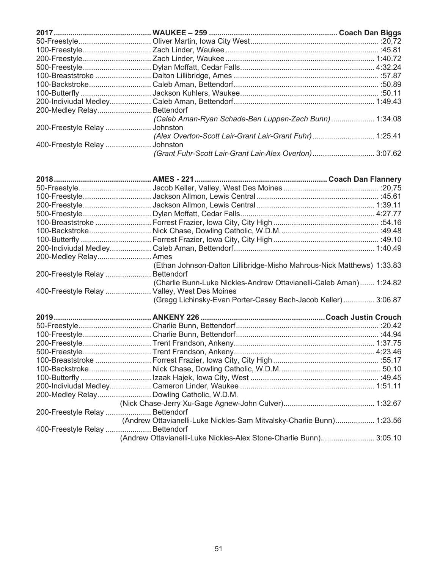| 100-Breaststroke              |                                                          |  |
|-------------------------------|----------------------------------------------------------|--|
| 100-Backstroke                |                                                          |  |
|                               |                                                          |  |
|                               |                                                          |  |
| 200-Medley Relay              | Bettendorf                                               |  |
|                               | (Caleb Aman-Ryan Schade-Ben Luppen-Zach Bunn) 1:34.08    |  |
| 200-Freestyle Relay  Johnston |                                                          |  |
|                               | (Alex Overton-Scott Lair-Grant Lair-Grant Fuhr) 1:25.41  |  |
| 400-Freestyle Relay  Johnston |                                                          |  |
|                               | (Grant Fuhr-Scott Lair-Grant Lair-Alex Overton)  3:07.62 |  |

| 200-Medley Relay Ames           |                                                                            |  |
|---------------------------------|----------------------------------------------------------------------------|--|
|                                 | (Ethan Johnson-Dalton Lillibridge-Misho Mahrous-Nick Matthews) 1:33.83     |  |
| 200-Freestyle Relay  Bettendorf |                                                                            |  |
|                                 | (Charlie Bunn-Luke Nickles-Andrew Ottavianelli-Caleb Aman) 1:24.82         |  |
|                                 | 400-Freestyle Relay  Valley, West Des Moines                               |  |
|                                 | (Gregg Lichinsky-Evan Porter-Casey Bach-Jacob Keller) 3:06.87              |  |
|                                 |                                                                            |  |
|                                 |                                                                            |  |
|                                 |                                                                            |  |
|                                 |                                                                            |  |
|                                 |                                                                            |  |
|                                 |                                                                            |  |
|                                 |                                                                            |  |
|                                 |                                                                            |  |
|                                 | 100-Backstroke Nick Chase, Dowling Catholic, W.D.M……………………………………………… 50.10 |  |
|                                 |                                                                            |  |
|                                 |                                                                            |  |
|                                 | 200-Medley Relay Dowling Catholic, W.D.M.                                  |  |
|                                 |                                                                            |  |
| 200-Freestyle Relay  Bettendorf |                                                                            |  |
| 400-Freestyle Relay  Bettendorf | (Andrew Ottavianelli-Luke Nickles-Sam Mitvalsky-Charlie Bunn) 1:23.56      |  |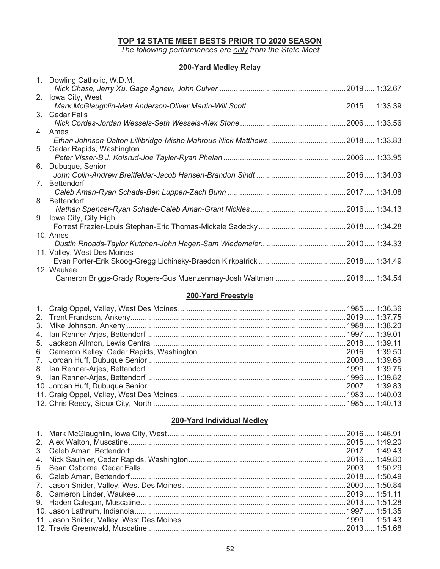#### **TOP 12 STATE MEET BESTS PRIOR TO 2020 SEASON**

*The following performances are only from the State Meet*

#### **200-Yard Medley Relay**

| 1. Dowling Catholic, W.D.M.                                          |  |
|----------------------------------------------------------------------|--|
|                                                                      |  |
| 2. Iowa City, West                                                   |  |
|                                                                      |  |
| 3. Cedar Falls                                                       |  |
|                                                                      |  |
| 4. Ames                                                              |  |
|                                                                      |  |
| 5. Cedar Rapids, Washington                                          |  |
|                                                                      |  |
| 6. Dubuque, Senior                                                   |  |
|                                                                      |  |
| 7. Bettendorf                                                        |  |
|                                                                      |  |
| 8. Bettendorf                                                        |  |
|                                                                      |  |
| 9. Iowa City, City High                                              |  |
|                                                                      |  |
| 10. Ames                                                             |  |
| 11. Valley, West Des Moines                                          |  |
|                                                                      |  |
| 12. Waukee                                                           |  |
| Cameron Briggs-Grady Rogers-Gus Muenzenmay-Josh Waltman 2016 1:34.54 |  |
|                                                                      |  |

#### **200-Yard Freestyle**

# **200-Yard Individual Medley**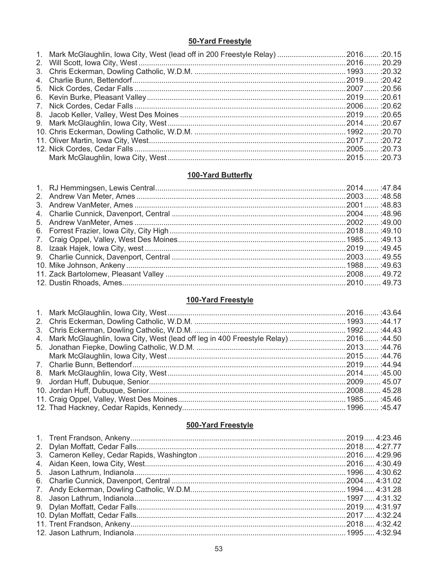# 50-Yard Freestyle

| 1. Mark McGlaughlin, lowa City, West (lead off in 200 Freestyle Relay) 2016 :20.15 |  |
|------------------------------------------------------------------------------------|--|
|                                                                                    |  |
|                                                                                    |  |
|                                                                                    |  |
|                                                                                    |  |
|                                                                                    |  |
|                                                                                    |  |
|                                                                                    |  |
|                                                                                    |  |
|                                                                                    |  |
|                                                                                    |  |
|                                                                                    |  |
|                                                                                    |  |
|                                                                                    |  |

# 100-Yard Butterfly

#### 100-Yard Freestyle

| 4. Mark McGlaughlin, lowa City, West (lead off leg in 400 Freestyle Relay) 2016 :44.50 |  |  |
|----------------------------------------------------------------------------------------|--|--|
|                                                                                        |  |  |
|                                                                                        |  |  |
|                                                                                        |  |  |
|                                                                                        |  |  |
|                                                                                        |  |  |
|                                                                                        |  |  |
|                                                                                        |  |  |
|                                                                                        |  |  |
|                                                                                        |  |  |
|                                                                                        |  |  |
|                                                                                        |  |  |

#### 500-Yard Freestyle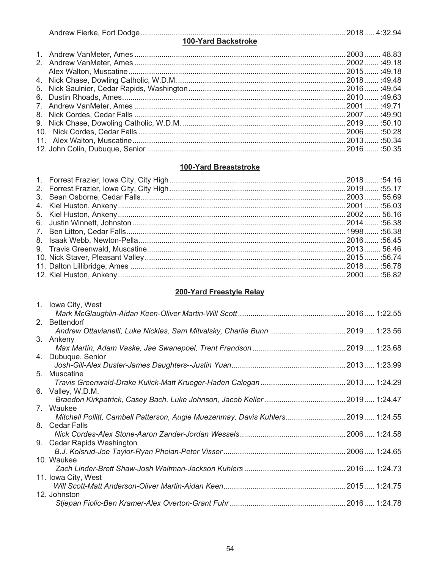| <b>100-Yard Backstroke</b> |  |
|----------------------------|--|
|                            |  |
|                            |  |
|                            |  |
|                            |  |
|                            |  |
|                            |  |
|                            |  |
|                            |  |
|                            |  |
|                            |  |
|                            |  |
|                            |  |
|                            |  |

# **100-Yard Breaststroke**

#### **200-Yard Freestyle Relay**

| 1. Iowa City, West                                                              |  |
|---------------------------------------------------------------------------------|--|
|                                                                                 |  |
| 2. Bettendorf                                                                   |  |
|                                                                                 |  |
| 3. Ankeny                                                                       |  |
| 4. Dubuque, Senior                                                              |  |
|                                                                                 |  |
| 5. Muscatine                                                                    |  |
|                                                                                 |  |
| 6. Valley, W.D.M.                                                               |  |
|                                                                                 |  |
| 7. Waukee                                                                       |  |
| Mitchell Pollitt, Cambell Patterson, Augie Muezenmay, Davis Kuhlers2019 1:24.55 |  |
| 8. Cedar Falls                                                                  |  |
| 9. Cedar Rapids Washington                                                      |  |
|                                                                                 |  |
| 10. Waukee                                                                      |  |
|                                                                                 |  |
| 11. Iowa City, West                                                             |  |
|                                                                                 |  |
| 12. Johnston                                                                    |  |
|                                                                                 |  |